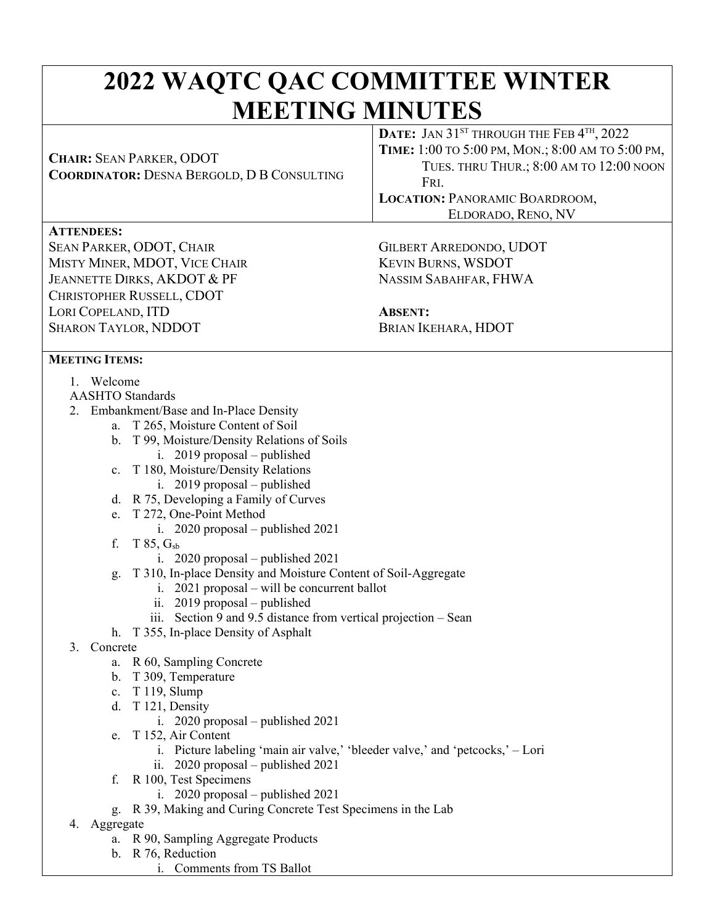# **2022 WAQTC QAC COMMITTEE WINTER MEETING MINUTES DATE:** JAN 31<sup>ST</sup> THROUGH THE FEB 4<sup>TH</sup> 2022

| <b>CHAIR: SEAN PARKER, ODOT</b><br><b>COORDINATOR: DESNA BERGOLD, D B CONSULTING</b> | <b>DATE, JARJI</b> HIROUGH HILLED T, $2022$<br>ТІМЕ: 1:00 ТО 5:00 РМ, МОК.; 8:00 АМ ТО 5:00 РМ,<br>TUES. THRU THUR.; 8:00 AM TO 12:00 NOON<br>FRI.<br><b>LOCATION: PANORAMIC BOARDROOM,</b><br>ELDORADO, RENO, NV |  |  |
|--------------------------------------------------------------------------------------|-------------------------------------------------------------------------------------------------------------------------------------------------------------------------------------------------------------------|--|--|
| <b>ATTENDEES:</b>                                                                    |                                                                                                                                                                                                                   |  |  |
| <b>SEAN PARKER, ODOT, CHAIR</b>                                                      | <b>GILBERT ARREDONDO, UDOT</b>                                                                                                                                                                                    |  |  |
| MISTY MINER, MDOT, VICE CHAIR                                                        | <b>KEVIN BURNS, WSDOT</b>                                                                                                                                                                                         |  |  |
| JEANNETTE DIRKS, AKDOT & PF                                                          | NASSIM SABAHFAR, FHWA                                                                                                                                                                                             |  |  |
| CHRISTOPHER RUSSELL, CDOT                                                            |                                                                                                                                                                                                                   |  |  |
| LORI COPELAND, ITD                                                                   | <b>ABSENT:</b>                                                                                                                                                                                                    |  |  |
| <b>SHARON TAYLOR, NDDOT</b>                                                          | BRIAN IKEHARA, HDOT                                                                                                                                                                                               |  |  |
|                                                                                      |                                                                                                                                                                                                                   |  |  |
| <b>MEETING ITEMS:</b>                                                                |                                                                                                                                                                                                                   |  |  |
| Welcome                                                                              |                                                                                                                                                                                                                   |  |  |
| <b>AASHTO Standards</b>                                                              |                                                                                                                                                                                                                   |  |  |
| 2. Embankment/Base and In-Place Density                                              |                                                                                                                                                                                                                   |  |  |
| a. T 265, Moisture Content of Soil                                                   |                                                                                                                                                                                                                   |  |  |
| T 99, Moisture/Density Relations of Soils<br>b.                                      |                                                                                                                                                                                                                   |  |  |

- 
- i. 2019 proposal published
- c. T 180, Moisture/Density Relations
	- i. 2019 proposal published
- d. R 75, Developing a Family of Curves
- e. T 272, One-Point Method
	- i. 2020 proposal published 2021
- f. T 85, Gsb
	- i. 2020 proposal published 2021
- g. T 310, In-place Density and Moisture Content of Soil-Aggregate
	- i. 2021 proposal will be concurrent ballot
	- ii. 2019 proposal published
	- iii. Section 9 and 9.5 distance from vertical projection Sean
- h. T 355, In-place Density of Asphalt
- 3. Concrete
	- a. R 60, Sampling Concrete
	- b. T 309, Temperature
	- c. T 119, Slump
	- d. T 121, Density
		- i. 2020 proposal published 2021
	- e. T 152, Air Content
		- i. Picture labeling 'main air valve,' 'bleeder valve,' and 'petcocks,' Lori
		- ii. 2020 proposal published 2021
	- f. R 100, Test Specimens
		- i. 2020 proposal published 2021
	- g. R 39, Making and Curing Concrete Test Specimens in the Lab
- 4. Aggregate
	- a. R 90, Sampling Aggregate Products
	- b. R 76, Reduction
		- i. Comments from TS Ballot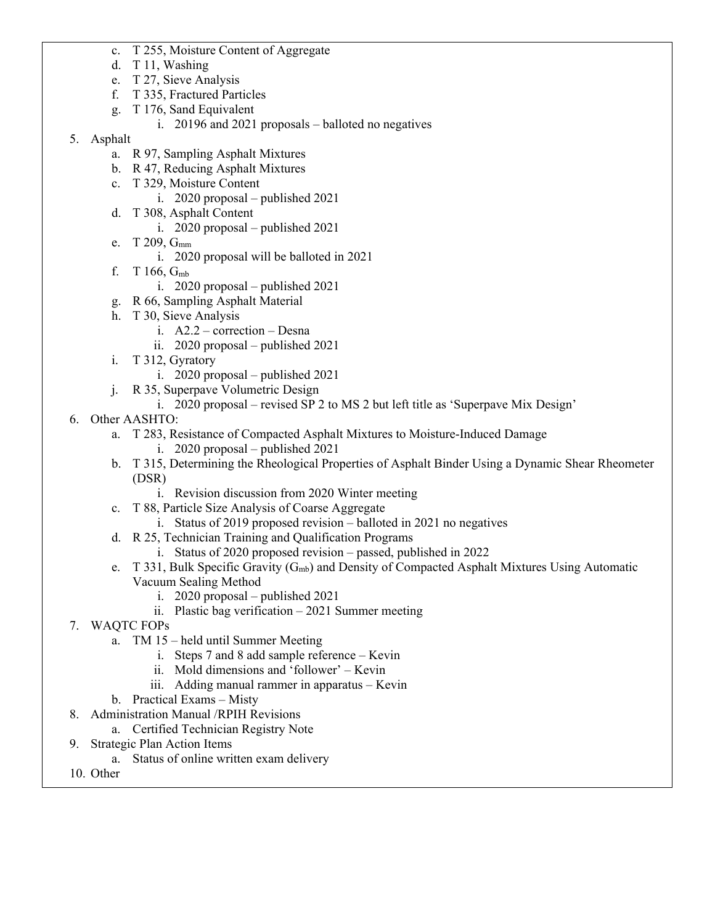- c. T 255, Moisture Content of Aggregate
- d. T 11, Washing
- e. T 27, Sieve Analysis
- f. T 335, Fractured Particles
- g. T 176, Sand Equivalent
	- i. 20196 and 2021 proposals balloted no negatives
- 5. Asphalt
	- a. R 97, Sampling Asphalt Mixtures
	- b. R 47, Reducing Asphalt Mixtures
	- c. T 329, Moisture Content
		- i. 2020 proposal published 2021
	- d. T 308, Asphalt Content
		- i. 2020 proposal published 2021
	- e. T 209, G<sub>mm</sub>
		- i. 2020 proposal will be balloted in 2021
	- f. T 166, Gmb
		- i. 2020 proposal published 2021
	- g. R 66, Sampling Asphalt Material
	- h. T 30, Sieve Analysis
		- i. A2.2 correction Desna
		- ii. 2020 proposal published 2021
	- i. T 312, Gyratory
		- i. 2020 proposal published 2021
	- j. R 35, Superpave Volumetric Design
		- i. 2020 proposal revised SP 2 to MS 2 but left title as 'Superpave Mix Design'
- 6. Other AASHTO:
	- a. T 283, Resistance of Compacted Asphalt Mixtures to Moisture-Induced Damage
		- i. 2020 proposal published 2021
	- b. T 315, Determining the Rheological Properties of Asphalt Binder Using a Dynamic Shear Rheometer (DSR)
		- i. Revision discussion from 2020 Winter meeting
	- c. T 88, Particle Size Analysis of Coarse Aggregate
		- i. Status of 2019 proposed revision balloted in 2021 no negatives
	- d. R 25, Technician Training and Qualification Programs
		- i. Status of 2020 proposed revision passed, published in 2022
	- e. T 331, Bulk Specific Gravity  $(G_{mb})$  and Density of Compacted Asphalt Mixtures Using Automatic Vacuum Sealing Method
		- i. 2020 proposal published 2021
		- ii. Plastic bag verification 2021 Summer meeting
- 7. WAQTC FOPs
	- a. TM 15 held until Summer Meeting
		- i. Steps 7 and 8 add sample reference Kevin
		- ii. Mold dimensions and 'follower' Kevin
		- iii. Adding manual rammer in apparatus Kevin
	- b. Practical Exams Misty
- 8. Administration Manual /RPIH Revisions
	- a. Certified Technician Registry Note
- 9. Strategic Plan Action Items
	- a. Status of online written exam delivery
- 10. Other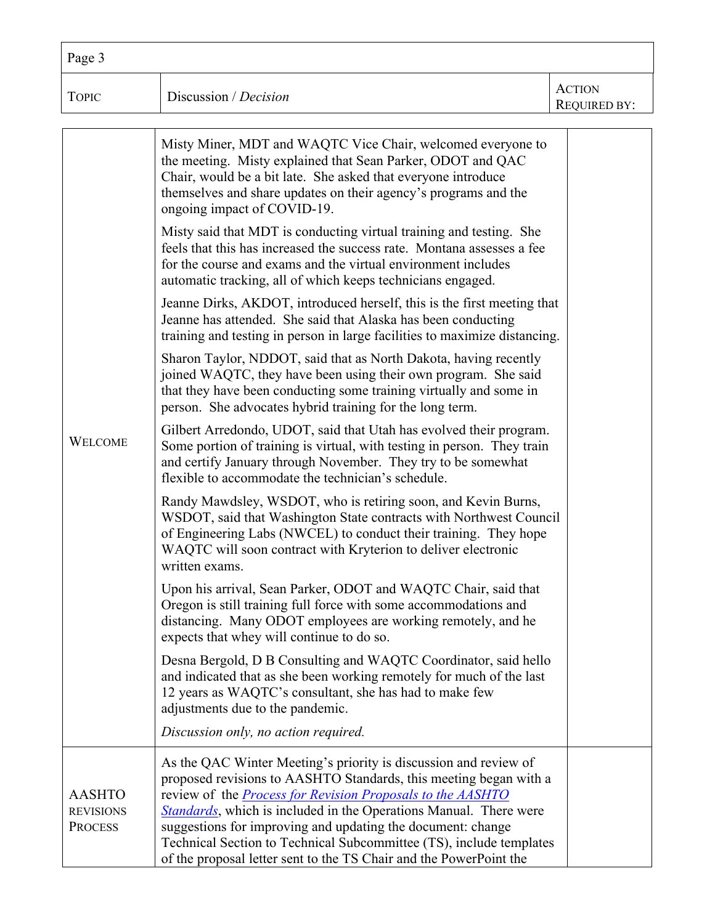| Page 3 |                       |                                      |
|--------|-----------------------|--------------------------------------|
| TOPIC  | Discussion / Decision | <b>ACTION</b><br><b>REQUIRED BY:</b> |

|                                                     | Misty Miner, MDT and WAQTC Vice Chair, welcomed everyone to<br>the meeting. Misty explained that Sean Parker, ODOT and QAC<br>Chair, would be a bit late. She asked that everyone introduce<br>themselves and share updates on their agency's programs and the<br>ongoing impact of COVID-19.                                                                                                                                                                                               |  |
|-----------------------------------------------------|---------------------------------------------------------------------------------------------------------------------------------------------------------------------------------------------------------------------------------------------------------------------------------------------------------------------------------------------------------------------------------------------------------------------------------------------------------------------------------------------|--|
|                                                     | Misty said that MDT is conducting virtual training and testing. She<br>feels that this has increased the success rate. Montana assesses a fee<br>for the course and exams and the virtual environment includes<br>automatic tracking, all of which keeps technicians engaged.                                                                                                                                                                                                               |  |
|                                                     | Jeanne Dirks, AKDOT, introduced herself, this is the first meeting that<br>Jeanne has attended. She said that Alaska has been conducting<br>training and testing in person in large facilities to maximize distancing.                                                                                                                                                                                                                                                                      |  |
|                                                     | Sharon Taylor, NDDOT, said that as North Dakota, having recently<br>joined WAQTC, they have been using their own program. She said<br>that they have been conducting some training virtually and some in<br>person. She advocates hybrid training for the long term.                                                                                                                                                                                                                        |  |
| <b>WELCOME</b>                                      | Gilbert Arredondo, UDOT, said that Utah has evolved their program.<br>Some portion of training is virtual, with testing in person. They train<br>and certify January through November. They try to be somewhat<br>flexible to accommodate the technician's schedule.                                                                                                                                                                                                                        |  |
|                                                     | Randy Mawdsley, WSDOT, who is retiring soon, and Kevin Burns,<br>WSDOT, said that Washington State contracts with Northwest Council<br>of Engineering Labs (NWCEL) to conduct their training. They hope<br>WAQTC will soon contract with Kryterion to deliver electronic<br>written exams.                                                                                                                                                                                                  |  |
|                                                     | Upon his arrival, Sean Parker, ODOT and WAQTC Chair, said that<br>Oregon is still training full force with some accommodations and<br>distancing. Many ODOT employees are working remotely, and he<br>expects that whey will continue to do so.                                                                                                                                                                                                                                             |  |
|                                                     | Desna Bergold, D B Consulting and WAQTC Coordinator, said hello<br>and indicated that as she been working remotely for much of the last<br>12 years as WAQTC's consultant, she has had to make few<br>adjustments due to the pandemic.                                                                                                                                                                                                                                                      |  |
|                                                     | Discussion only, no action required.                                                                                                                                                                                                                                                                                                                                                                                                                                                        |  |
| <b>AASHTO</b><br><b>REVISIONS</b><br><b>PROCESS</b> | As the QAC Winter Meeting's priority is discussion and review of<br>proposed revisions to AASHTO Standards, this meeting began with a<br>review of the <i>Process for Revision Proposals to the AASHTO</i><br>Standards, which is included in the Operations Manual. There were<br>suggestions for improving and updating the document: change<br>Technical Section to Technical Subcommittee (TS), include templates<br>of the proposal letter sent to the TS Chair and the PowerPoint the |  |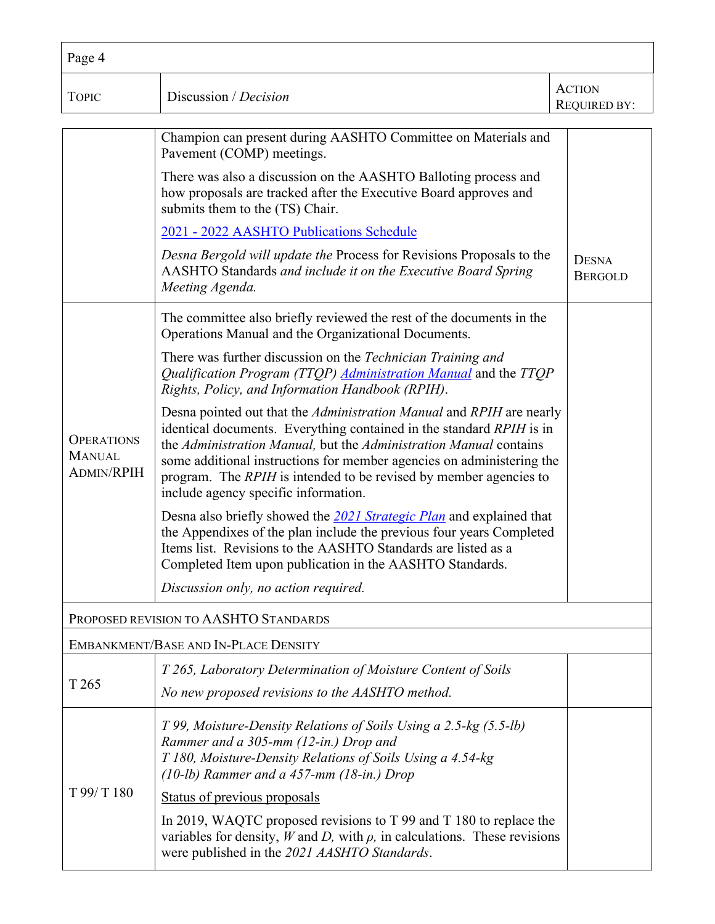| Page 4                                                  |                                                                                                                                                                                                                                                                                                                                                                                                         |                                |  |
|---------------------------------------------------------|---------------------------------------------------------------------------------------------------------------------------------------------------------------------------------------------------------------------------------------------------------------------------------------------------------------------------------------------------------------------------------------------------------|--------------------------------|--|
| <b>TOPIC</b>                                            | Discussion / Decision                                                                                                                                                                                                                                                                                                                                                                                   | <b>ACTION</b><br>REQUIRED BY:  |  |
|                                                         | Champion can present during AASHTO Committee on Materials and<br>Pavement (COMP) meetings.                                                                                                                                                                                                                                                                                                              |                                |  |
|                                                         | There was also a discussion on the AASHTO Balloting process and<br>how proposals are tracked after the Executive Board approves and<br>submits them to the (TS) Chair.                                                                                                                                                                                                                                  |                                |  |
|                                                         | 2021 - 2022 AASHTO Publications Schedule                                                                                                                                                                                                                                                                                                                                                                |                                |  |
|                                                         | Desna Bergold will update the Process for Revisions Proposals to the<br>AASHTO Standards and include it on the Executive Board Spring<br>Meeting Agenda.                                                                                                                                                                                                                                                | <b>DESNA</b><br><b>BERGOLD</b> |  |
|                                                         | The committee also briefly reviewed the rest of the documents in the<br>Operations Manual and the Organizational Documents.                                                                                                                                                                                                                                                                             |                                |  |
|                                                         | There was further discussion on the Technician Training and<br>Qualification Program (TTQP) <i>Administration Manual</i> and the TTQP<br>Rights, Policy, and Information Handbook (RPIH).                                                                                                                                                                                                               |                                |  |
| <b>OPERATIONS</b><br><b>MANUAL</b><br><b>ADMIN/RPIH</b> | Desna pointed out that the Administration Manual and RPIH are nearly<br>identical documents. Everything contained in the standard RPIH is in<br>the Administration Manual, but the Administration Manual contains<br>some additional instructions for member agencies on administering the<br>program. The RPIH is intended to be revised by member agencies to<br>include agency specific information. |                                |  |
|                                                         | Desna also briefly showed the 2021 Strategic Plan and explained that<br>the Appendixes of the plan include the previous four years Completed<br>Items list. Revisions to the AASHTO Standards are listed as a<br>Completed Item upon publication in the AASHTO Standards.                                                                                                                               |                                |  |
|                                                         | Discussion only, no action required.                                                                                                                                                                                                                                                                                                                                                                    |                                |  |
|                                                         | PROPOSED REVISION TO AASHTO STANDARDS                                                                                                                                                                                                                                                                                                                                                                   |                                |  |
|                                                         | EMBANKMENT/BASE AND IN-PLACE DENSITY                                                                                                                                                                                                                                                                                                                                                                    |                                |  |
|                                                         | T 265, Laboratory Determination of Moisture Content of Soils                                                                                                                                                                                                                                                                                                                                            |                                |  |
| T 265                                                   | No new proposed revisions to the AASHTO method.                                                                                                                                                                                                                                                                                                                                                         |                                |  |
|                                                         | T 99, Moisture-Density Relations of Soils Using a 2.5-kg (5.5-lb)<br>Rammer and a 305-mm (12-in.) Drop and<br>T 180, Moisture-Density Relations of Soils Using a 4.54-kg<br>$(10-lb)$ Rammer and a 457-mm $(18-ln.)$ Drop                                                                                                                                                                               |                                |  |
| T 99/ T 180                                             | Status of previous proposals                                                                                                                                                                                                                                                                                                                                                                            |                                |  |
|                                                         | In 2019, WAQTC proposed revisions to $T$ 99 and $T$ 180 to replace the<br>variables for density, $W$ and $D$ , with $\rho$ , in calculations. These revisions<br>were published in the 2021 AASHTO Standards.                                                                                                                                                                                           |                                |  |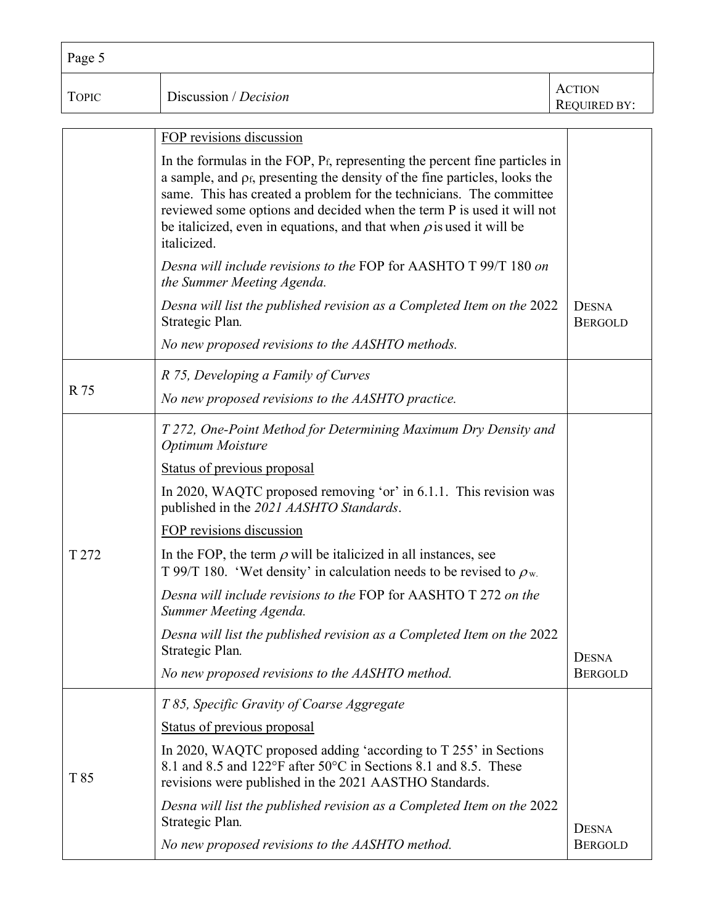| Page 5       |                                                                                                                                                                                                                                                                                                                                                                                                                |                                      |
|--------------|----------------------------------------------------------------------------------------------------------------------------------------------------------------------------------------------------------------------------------------------------------------------------------------------------------------------------------------------------------------------------------------------------------------|--------------------------------------|
| <b>TOPIC</b> | Discussion / Decision                                                                                                                                                                                                                                                                                                                                                                                          | <b>ACTION</b><br><b>REQUIRED BY:</b> |
|              | FOP revisions discussion                                                                                                                                                                                                                                                                                                                                                                                       |                                      |
|              | In the formulas in the FOP, $P_f$ , representing the percent fine particles in<br>a sample, and $\rho_f$ , presenting the density of the fine particles, looks the<br>same. This has created a problem for the technicians. The committee<br>reviewed some options and decided when the term P is used it will not<br>be italicized, even in equations, and that when $\rho$ is used it will be<br>italicized. |                                      |
|              | Desna will include revisions to the FOP for AASHTO T 99/T 180 on<br>the Summer Meeting Agenda.                                                                                                                                                                                                                                                                                                                 |                                      |
|              | Desna will list the published revision as a Completed Item on the 2022<br>Strategic Plan.                                                                                                                                                                                                                                                                                                                      | <b>DESNA</b><br><b>BERGOLD</b>       |
|              | No new proposed revisions to the AASHTO methods.                                                                                                                                                                                                                                                                                                                                                               |                                      |
|              | R 75, Developing a Family of Curves                                                                                                                                                                                                                                                                                                                                                                            |                                      |
| R 75         | No new proposed revisions to the AASHTO practice.                                                                                                                                                                                                                                                                                                                                                              |                                      |
|              | T 272, One-Point Method for Determining Maximum Dry Density and<br>Optimum Moisture                                                                                                                                                                                                                                                                                                                            |                                      |
|              | Status of previous proposal                                                                                                                                                                                                                                                                                                                                                                                    |                                      |
|              | In 2020, WAQTC proposed removing 'or' in 6.1.1. This revision was<br>published in the 2021 AASHTO Standards.                                                                                                                                                                                                                                                                                                   |                                      |
|              | FOP revisions discussion                                                                                                                                                                                                                                                                                                                                                                                       |                                      |
| T 272        | In the FOP, the term $\rho$ will be italicized in all instances, see<br>T 99/T 180. 'Wet density' in calculation needs to be revised to $\rho_w$ .                                                                                                                                                                                                                                                             |                                      |
|              | Desna will include revisions to the FOP for AASHTO T 272 on the<br>Summer Meeting Agenda.                                                                                                                                                                                                                                                                                                                      |                                      |
|              | Desna will list the published revision as a Completed Item on the 2022<br>Strategic Plan.                                                                                                                                                                                                                                                                                                                      | <b>DESNA</b>                         |
|              | No new proposed revisions to the AASHTO method.                                                                                                                                                                                                                                                                                                                                                                | <b>BERGOLD</b>                       |
|              | T 85, Specific Gravity of Coarse Aggregate                                                                                                                                                                                                                                                                                                                                                                     |                                      |
| T 85         | Status of previous proposal                                                                                                                                                                                                                                                                                                                                                                                    |                                      |
|              | In 2020, WAQTC proposed adding 'according to T 255' in Sections<br>8.1 and 8.5 and 122°F after 50°C in Sections 8.1 and 8.5. These<br>revisions were published in the 2021 AASTHO Standards.                                                                                                                                                                                                                   |                                      |
|              | Desna will list the published revision as a Completed Item on the 2022<br>Strategic Plan.                                                                                                                                                                                                                                                                                                                      | <b>DESNA</b>                         |
|              | No new proposed revisions to the AASHTO method.                                                                                                                                                                                                                                                                                                                                                                | <b>BERGOLD</b>                       |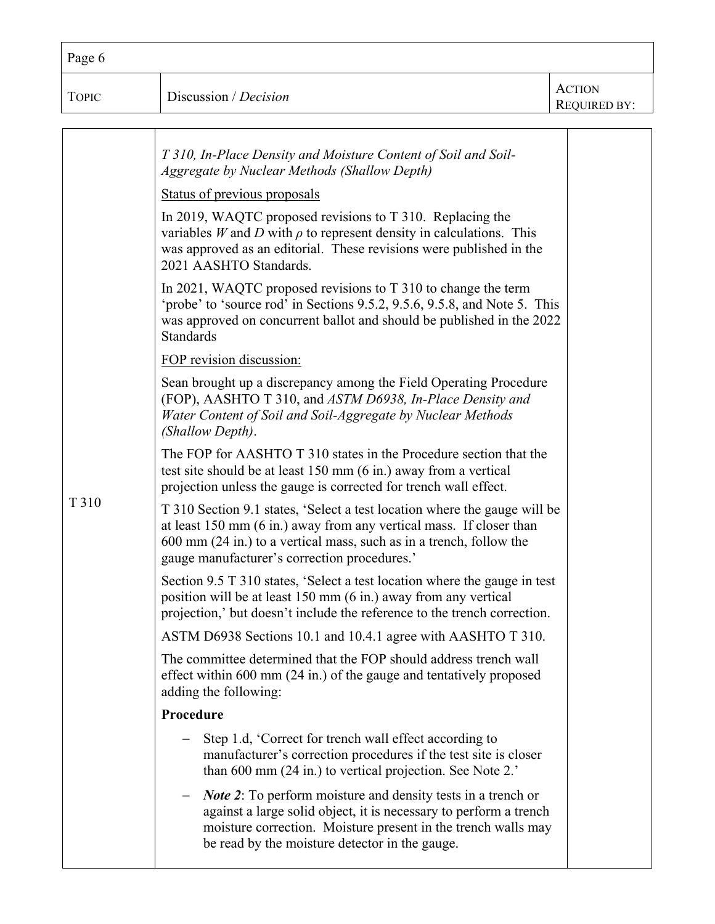| Page 6       |                                                                                                                                                                                                                                                                                                                                                                                                                                                                                                                                                                                                                                                                                                                                                                                                                                                                                                                                                                                                                                                                                                                                                                                                                                                                                                                                                                                                                                                                                                                                                                                                                                                                                                                                                                                                                                                                                                                                                                                                                                                                                                                                                                                                                                                                                                                           |                                      |
|--------------|---------------------------------------------------------------------------------------------------------------------------------------------------------------------------------------------------------------------------------------------------------------------------------------------------------------------------------------------------------------------------------------------------------------------------------------------------------------------------------------------------------------------------------------------------------------------------------------------------------------------------------------------------------------------------------------------------------------------------------------------------------------------------------------------------------------------------------------------------------------------------------------------------------------------------------------------------------------------------------------------------------------------------------------------------------------------------------------------------------------------------------------------------------------------------------------------------------------------------------------------------------------------------------------------------------------------------------------------------------------------------------------------------------------------------------------------------------------------------------------------------------------------------------------------------------------------------------------------------------------------------------------------------------------------------------------------------------------------------------------------------------------------------------------------------------------------------------------------------------------------------------------------------------------------------------------------------------------------------------------------------------------------------------------------------------------------------------------------------------------------------------------------------------------------------------------------------------------------------------------------------------------------------------------------------------------------------|--------------------------------------|
| <b>TOPIC</b> | Discussion / Decision                                                                                                                                                                                                                                                                                                                                                                                                                                                                                                                                                                                                                                                                                                                                                                                                                                                                                                                                                                                                                                                                                                                                                                                                                                                                                                                                                                                                                                                                                                                                                                                                                                                                                                                                                                                                                                                                                                                                                                                                                                                                                                                                                                                                                                                                                                     | <b>ACTION</b><br><b>REQUIRED BY:</b> |
| T 310        | T 310, In-Place Density and Moisture Content of Soil and Soil-<br>Aggregate by Nuclear Methods (Shallow Depth)<br>Status of previous proposals<br>In 2019, WAQTC proposed revisions to T 310. Replacing the<br>variables $W$ and $D$ with $\rho$ to represent density in calculations. This<br>was approved as an editorial. These revisions were published in the<br>2021 AASHTO Standards.<br>In 2021, WAQTC proposed revisions to $T$ 310 to change the term<br>'probe' to 'source rod' in Sections 9.5.2, 9.5.6, 9.5.8, and Note 5. This<br>was approved on concurrent ballot and should be published in the 2022<br><b>Standards</b><br>FOP revision discussion:<br>Sean brought up a discrepancy among the Field Operating Procedure<br>(FOP), AASHTO T 310, and ASTM D6938, In-Place Density and<br>Water Content of Soil and Soil-Aggregate by Nuclear Methods<br>(Shallow Depth).<br>The FOP for AASHTO T 310 states in the Procedure section that the<br>test site should be at least 150 mm (6 in.) away from a vertical<br>projection unless the gauge is corrected for trench wall effect.<br>T 310 Section 9.1 states, 'Select a test location where the gauge will be<br>at least 150 mm (6 in.) away from any vertical mass. If closer than<br>600 mm (24 in.) to a vertical mass, such as in a trench, follow the<br>gauge manufacturer's correction procedures.'<br>Section 9.5 T 310 states, 'Select a test location where the gauge in test<br>position will be at least 150 mm (6 in.) away from any vertical<br>projection,' but doesn't include the reference to the trench correction.<br>ASTM D6938 Sections 10.1 and 10.4.1 agree with AASHTO T 310.<br>The committee determined that the FOP should address trench wall<br>effect within 600 mm (24 in.) of the gauge and tentatively proposed<br>adding the following:<br>Procedure<br>Step 1.d, 'Correct for trench wall effect according to<br>manufacturer's correction procedures if the test site is closer<br>than 600 mm (24 in.) to vertical projection. See Note 2.'<br><i>Note 2</i> : To perform moisture and density tests in a trench or<br>against a large solid object, it is necessary to perform a trench<br>moisture correction. Moisture present in the trench walls may<br>be read by the moisture detector in the gauge. |                                      |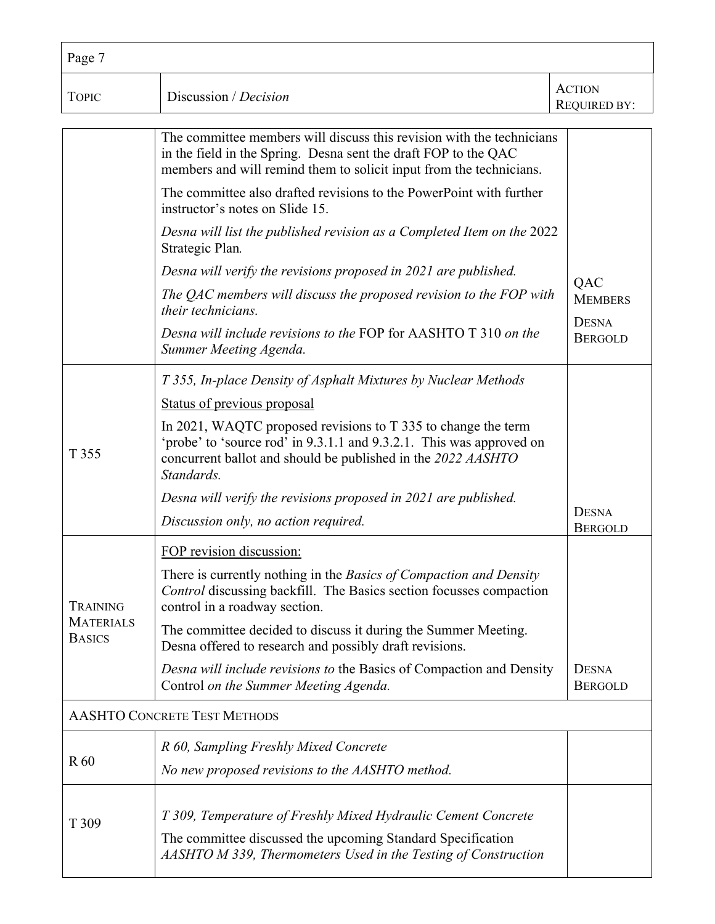| Page 7                              |                                                                                                                                                                                                                     |                                      |  |
|-------------------------------------|---------------------------------------------------------------------------------------------------------------------------------------------------------------------------------------------------------------------|--------------------------------------|--|
| <b>TOPIC</b>                        | Discussion / Decision                                                                                                                                                                                               | <b>ACTION</b><br><b>REQUIRED BY:</b> |  |
|                                     | The committee members will discuss this revision with the technicians<br>in the field in the Spring. Desna sent the draft FOP to the QAC<br>members and will remind them to solicit input from the technicians.     |                                      |  |
|                                     | The committee also drafted revisions to the PowerPoint with further<br>instructor's notes on Slide 15.                                                                                                              |                                      |  |
|                                     | Desna will list the published revision as a Completed Item on the 2022<br>Strategic Plan.                                                                                                                           |                                      |  |
|                                     | Desna will verify the revisions proposed in 2021 are published.                                                                                                                                                     |                                      |  |
|                                     | The QAC members will discuss the proposed revision to the FOP with<br>their technicians.                                                                                                                            | QAC<br><b>MEMBERS</b>                |  |
|                                     | Desna will include revisions to the FOP for AASHTO T 310 on the<br>Summer Meeting Agenda.                                                                                                                           | <b>DESNA</b><br><b>BERGOLD</b>       |  |
|                                     | T 355, In-place Density of Asphalt Mixtures by Nuclear Methods                                                                                                                                                      |                                      |  |
|                                     | Status of previous proposal                                                                                                                                                                                         |                                      |  |
| T 355                               | In 2021, WAQTC proposed revisions to T 335 to change the term<br>'probe' to 'source rod' in 9.3.1.1 and 9.3.2.1. This was approved on<br>concurrent ballot and should be published in the 2022 AASHTO<br>Standards. |                                      |  |
|                                     | Desna will verify the revisions proposed in 2021 are published.                                                                                                                                                     |                                      |  |
|                                     | Discussion only, no action required.                                                                                                                                                                                | <b>DESNA</b><br><b>BERGOLD</b>       |  |
|                                     | FOP revision discussion:                                                                                                                                                                                            |                                      |  |
| <b>TRAINING</b>                     | There is currently nothing in the Basics of Compaction and Density<br>Control discussing backfill. The Basics section focusses compaction<br>control in a roadway section.                                          |                                      |  |
| <b>MATERIALS</b><br><b>BASICS</b>   | The committee decided to discuss it during the Summer Meeting.<br>Desna offered to research and possibly draft revisions.                                                                                           |                                      |  |
|                                     | Desna will include revisions to the Basics of Compaction and Density<br>Control on the Summer Meeting Agenda.                                                                                                       | <b>DESNA</b><br><b>BERGOLD</b>       |  |
| <b>AASHTO CONCRETE TEST METHODS</b> |                                                                                                                                                                                                                     |                                      |  |
|                                     | R 60, Sampling Freshly Mixed Concrete                                                                                                                                                                               |                                      |  |
| R <sub>60</sub>                     | No new proposed revisions to the AASHTO method.                                                                                                                                                                     |                                      |  |
| T 309                               | T 309, Temperature of Freshly Mixed Hydraulic Cement Concrete<br>The committee discussed the upcoming Standard Specification<br>AASHTO M 339, Thermometers Used in the Testing of Construction                      |                                      |  |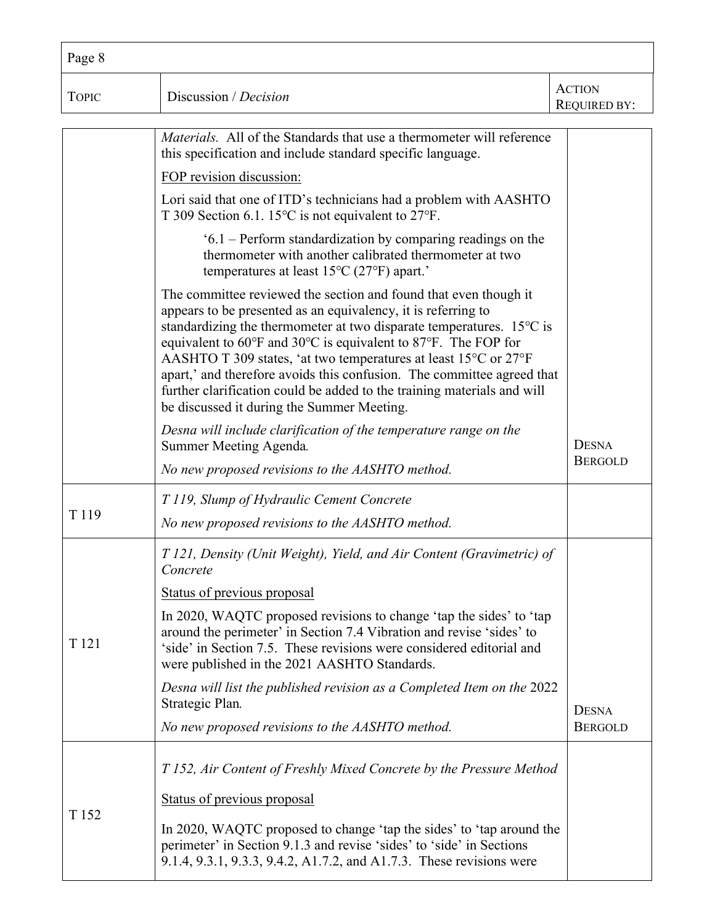| Page 8           |                                                                                                                                                                                                                                                                                                                                                                                                                                                                                                                                                             |                                      |
|------------------|-------------------------------------------------------------------------------------------------------------------------------------------------------------------------------------------------------------------------------------------------------------------------------------------------------------------------------------------------------------------------------------------------------------------------------------------------------------------------------------------------------------------------------------------------------------|--------------------------------------|
| <b>TOPIC</b>     | Discussion / Decision                                                                                                                                                                                                                                                                                                                                                                                                                                                                                                                                       | <b>ACTION</b><br><b>REQUIRED BY:</b> |
|                  | <i>Materials.</i> All of the Standards that use a thermometer will reference<br>this specification and include standard specific language.                                                                                                                                                                                                                                                                                                                                                                                                                  |                                      |
|                  | FOP revision discussion:<br>Lori said that one of ITD's technicians had a problem with AASHTO<br>T 309 Section 6.1. 15 $\degree$ C is not equivalent to 27 $\degree$ F.                                                                                                                                                                                                                                                                                                                                                                                     |                                      |
|                  | $6.1$ – Perform standardization by comparing readings on the<br>thermometer with another calibrated thermometer at two<br>temperatures at least $15^{\circ}$ C (27 $^{\circ}$ F) apart.'                                                                                                                                                                                                                                                                                                                                                                    |                                      |
|                  | The committee reviewed the section and found that even though it<br>appears to be presented as an equivalency, it is referring to<br>standardizing the thermometer at two disparate temperatures. $15^{\circ}$ C is<br>equivalent to 60°F and 30°C is equivalent to 87°F. The FOP for<br>AASHTO T 309 states, 'at two temperatures at least 15°C or 27°F<br>apart,' and therefore avoids this confusion. The committee agreed that<br>further clarification could be added to the training materials and will<br>be discussed it during the Summer Meeting. |                                      |
|                  | Desna will include clarification of the temperature range on the<br>Summer Meeting Agenda.<br>No new proposed revisions to the AASHTO method.                                                                                                                                                                                                                                                                                                                                                                                                               | <b>DESNA</b><br><b>BERGOLD</b>       |
| T <sub>119</sub> | T 119, Slump of Hydraulic Cement Concrete<br>No new proposed revisions to the AASHTO method.                                                                                                                                                                                                                                                                                                                                                                                                                                                                |                                      |
|                  | T 121, Density (Unit Weight), Yield, and Air Content (Gravimetric) of<br>Concrete                                                                                                                                                                                                                                                                                                                                                                                                                                                                           |                                      |
| T <sub>121</sub> | Status of previous proposal<br>In 2020, WAQTC proposed revisions to change 'tap the sides' to 'tap<br>around the perimeter' in Section 7.4 Vibration and revise 'sides' to<br>'side' in Section 7.5. These revisions were considered editorial and<br>were published in the 2021 AASHTO Standards.                                                                                                                                                                                                                                                          |                                      |
|                  | Desna will list the published revision as a Completed Item on the 2022<br>Strategic Plan.                                                                                                                                                                                                                                                                                                                                                                                                                                                                   | <b>DESNA</b>                         |
|                  | No new proposed revisions to the AASHTO method.                                                                                                                                                                                                                                                                                                                                                                                                                                                                                                             | <b>BERGOLD</b>                       |
|                  | T 152, Air Content of Freshly Mixed Concrete by the Pressure Method                                                                                                                                                                                                                                                                                                                                                                                                                                                                                         |                                      |
|                  | Status of previous proposal                                                                                                                                                                                                                                                                                                                                                                                                                                                                                                                                 |                                      |
| T <sub>152</sub> | In 2020, WAQTC proposed to change 'tap the sides' to 'tap around the<br>perimeter' in Section 9.1.3 and revise 'sides' to 'side' in Sections<br>9.1.4, 9.3.1, 9.3.3, 9.4.2, A1.7.2, and A1.7.3. These revisions were                                                                                                                                                                                                                                                                                                                                        |                                      |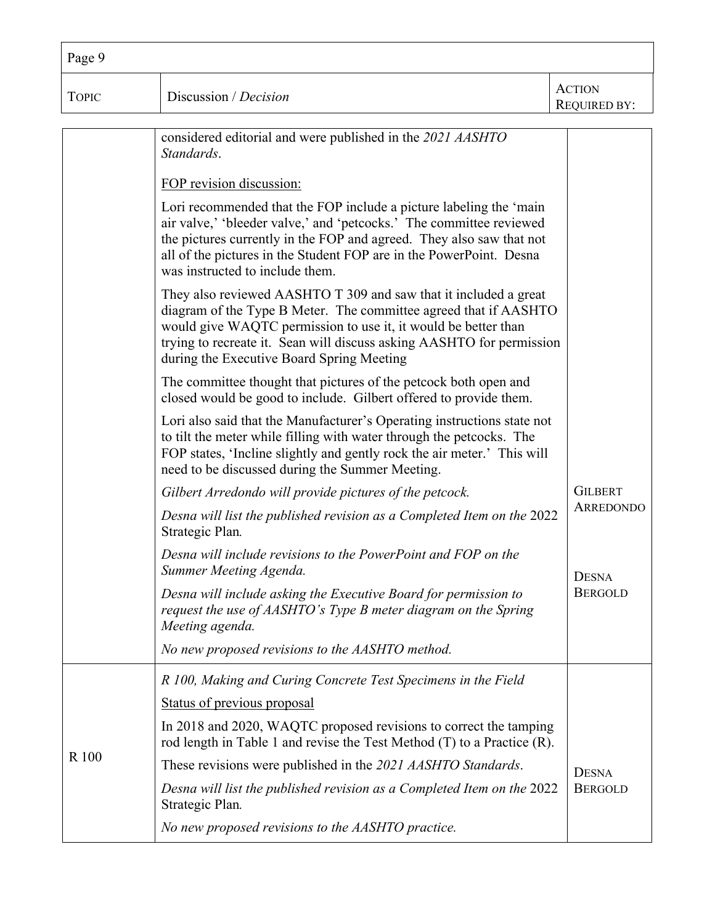| Page 9       |                                                                                                                                                                                                                                                                                                                              |                                      |
|--------------|------------------------------------------------------------------------------------------------------------------------------------------------------------------------------------------------------------------------------------------------------------------------------------------------------------------------------|--------------------------------------|
| <b>TOPIC</b> | Discussion / Decision                                                                                                                                                                                                                                                                                                        | <b>ACTION</b><br><b>REQUIRED BY:</b> |
|              | considered editorial and were published in the 2021 AASHTO<br>Standards.                                                                                                                                                                                                                                                     |                                      |
|              | FOP revision discussion:                                                                                                                                                                                                                                                                                                     |                                      |
|              | Lori recommended that the FOP include a picture labeling the 'main<br>air valve,' 'bleeder valve,' and 'petcocks.' The committee reviewed<br>the pictures currently in the FOP and agreed. They also saw that not<br>all of the pictures in the Student FOP are in the PowerPoint. Desna<br>was instructed to include them.  |                                      |
|              | They also reviewed AASHTO T 309 and saw that it included a great<br>diagram of the Type B Meter. The committee agreed that if AASHTO<br>would give WAQTC permission to use it, it would be better than<br>trying to recreate it. Sean will discuss asking AASHTO for permission<br>during the Executive Board Spring Meeting |                                      |
|              | The committee thought that pictures of the petcock both open and<br>closed would be good to include. Gilbert offered to provide them.                                                                                                                                                                                        |                                      |
|              | Lori also said that the Manufacturer's Operating instructions state not<br>to tilt the meter while filling with water through the petcocks. The<br>FOP states, 'Incline slightly and gently rock the air meter.' This will<br>need to be discussed during the Summer Meeting.                                                |                                      |
|              | Gilbert Arredondo will provide pictures of the petcock.                                                                                                                                                                                                                                                                      | <b>GILBERT</b>                       |
|              | Desna will list the published revision as a Completed Item on the 2022<br>Strategic Plan.                                                                                                                                                                                                                                    | <b>ARREDONDO</b>                     |
|              | Desna will include revisions to the PowerPoint and FOP on the<br>Summer Meeting Agenda.                                                                                                                                                                                                                                      | <b>DESNA</b>                         |
|              | Desna will include asking the Executive Board for permission to<br>request the use of AASHTO's Type B meter diagram on the Spring<br>Meeting agenda.                                                                                                                                                                         | <b>BERGOLD</b>                       |
|              | No new proposed revisions to the AASHTO method.                                                                                                                                                                                                                                                                              |                                      |
|              | R 100, Making and Curing Concrete Test Specimens in the Field                                                                                                                                                                                                                                                                |                                      |
|              | Status of previous proposal                                                                                                                                                                                                                                                                                                  |                                      |
| R 100        | In 2018 and 2020, WAQTC proposed revisions to correct the tamping<br>rod length in Table 1 and revise the Test Method $(T)$ to a Practice $(R)$ .                                                                                                                                                                            |                                      |
|              | These revisions were published in the 2021 AASHTO Standards.                                                                                                                                                                                                                                                                 | <b>DESNA</b>                         |
|              | Desna will list the published revision as a Completed Item on the 2022<br>Strategic Plan.                                                                                                                                                                                                                                    | <b>BERGOLD</b>                       |
|              | No new proposed revisions to the AASHTO practice.                                                                                                                                                                                                                                                                            |                                      |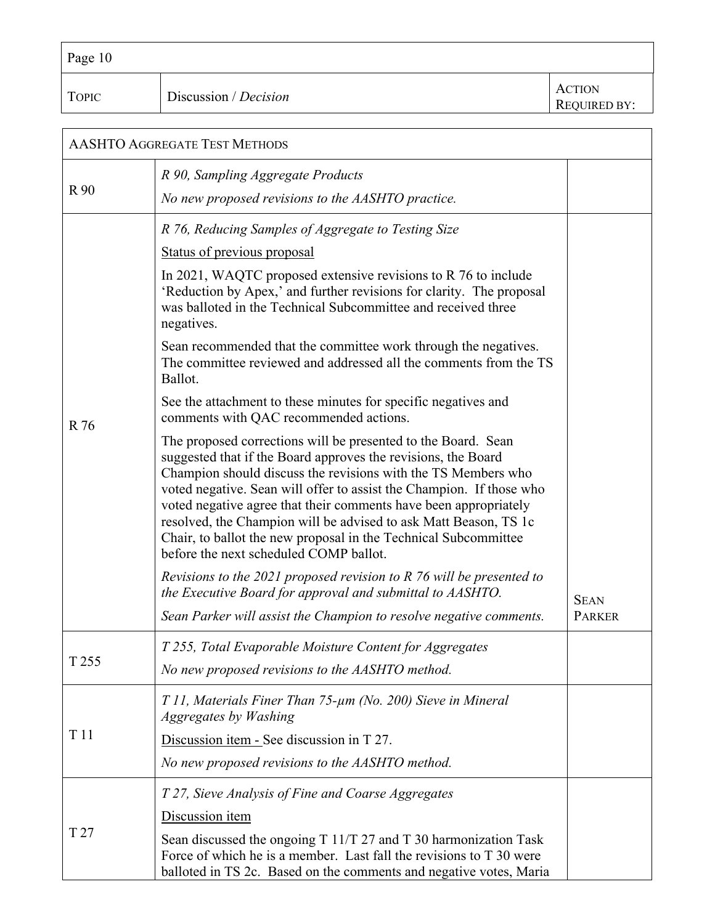| Page 10      |                       |                                      |
|--------------|-----------------------|--------------------------------------|
| <b>TOPIC</b> | Discussion / Decision | <b>ACTION</b><br><b>REQUIRED BY:</b> |

| <b>AASHTO AGGREGATE TEST METHODS</b> |                                                                                                                                                                                                                                                                                                                                                                                                                                                                                                                                                                                                                                                                                                                                           |                              |  |
|--------------------------------------|-------------------------------------------------------------------------------------------------------------------------------------------------------------------------------------------------------------------------------------------------------------------------------------------------------------------------------------------------------------------------------------------------------------------------------------------------------------------------------------------------------------------------------------------------------------------------------------------------------------------------------------------------------------------------------------------------------------------------------------------|------------------------------|--|
| R 90                                 | R 90, Sampling Aggregate Products<br>No new proposed revisions to the AASHTO practice.                                                                                                                                                                                                                                                                                                                                                                                                                                                                                                                                                                                                                                                    |                              |  |
|                                      | R 76, Reducing Samples of Aggregate to Testing Size<br>Status of previous proposal<br>In 2021, WAQTC proposed extensive revisions to R 76 to include<br>'Reduction by Apex,' and further revisions for clarity. The proposal<br>was balloted in the Technical Subcommittee and received three<br>negatives.<br>Sean recommended that the committee work through the negatives.<br>The committee reviewed and addressed all the comments from the TS<br>Ballot.<br>See the attachment to these minutes for specific negatives and<br>comments with QAC recommended actions.                                                                                                                                                                |                              |  |
| R 76                                 | The proposed corrections will be presented to the Board. Sean<br>suggested that if the Board approves the revisions, the Board<br>Champion should discuss the revisions with the TS Members who<br>voted negative. Sean will offer to assist the Champion. If those who<br>voted negative agree that their comments have been appropriately<br>resolved, the Champion will be advised to ask Matt Beason, TS 1c<br>Chair, to ballot the new proposal in the Technical Subcommittee<br>before the next scheduled COMP ballot.<br>Revisions to the 2021 proposed revision to $R$ 76 will be presented to<br>the Executive Board for approval and submittal to AASHTO.<br>Sean Parker will assist the Champion to resolve negative comments. | <b>SEAN</b><br><b>PARKER</b> |  |
| T 255                                | T 255, Total Evaporable Moisture Content for Aggregates<br>No new proposed revisions to the AASHTO method.                                                                                                                                                                                                                                                                                                                                                                                                                                                                                                                                                                                                                                |                              |  |
| T <sub>11</sub>                      | T 11, Materials Finer Than 75-µm (No. 200) Sieve in Mineral<br>Aggregates by Washing<br>Discussion item - See discussion in T 27.<br>No new proposed revisions to the AASHTO method.                                                                                                                                                                                                                                                                                                                                                                                                                                                                                                                                                      |                              |  |
| T 27                                 | T 27, Sieve Analysis of Fine and Coarse Aggregates<br>Discussion item<br>Sean discussed the ongoing T 11/T 27 and T 30 harmonization Task<br>Force of which he is a member. Last fall the revisions to T 30 were<br>balloted in TS 2c. Based on the comments and negative votes, Maria                                                                                                                                                                                                                                                                                                                                                                                                                                                    |                              |  |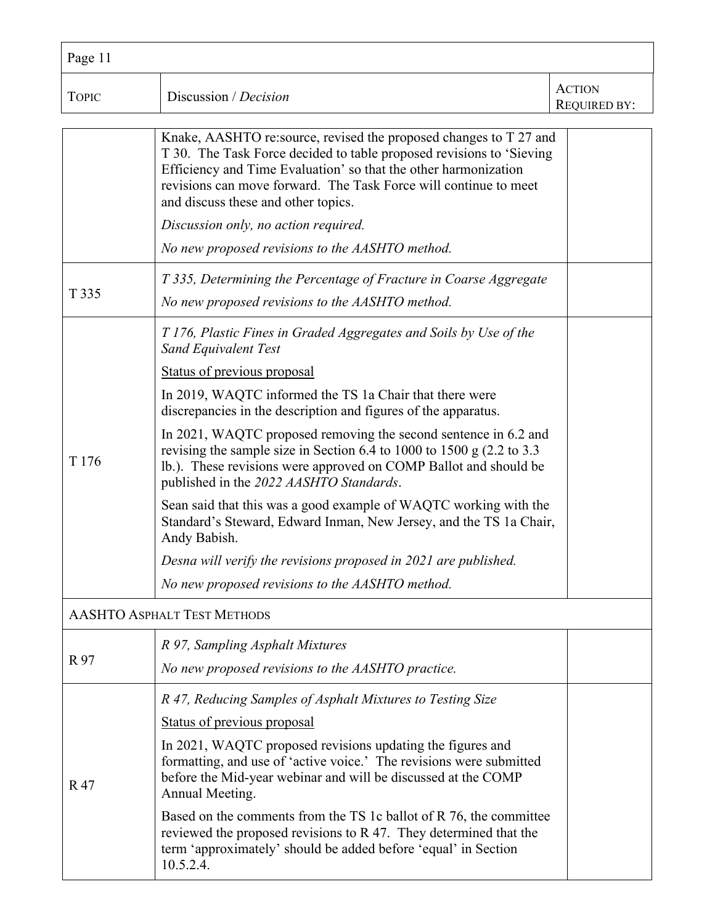| Page 11          |                                                                                                                                                                                                                                                                                                                                                                  |                                      |
|------------------|------------------------------------------------------------------------------------------------------------------------------------------------------------------------------------------------------------------------------------------------------------------------------------------------------------------------------------------------------------------|--------------------------------------|
| <b>TOPIC</b>     | Discussion / Decision                                                                                                                                                                                                                                                                                                                                            | <b>ACTION</b><br><b>REQUIRED BY:</b> |
|                  | Knake, AASHTO re: source, revised the proposed changes to T 27 and<br>T 30. The Task Force decided to table proposed revisions to 'Sieving<br>Efficiency and Time Evaluation' so that the other harmonization<br>revisions can move forward. The Task Force will continue to meet<br>and discuss these and other topics.<br>Discussion only, no action required. |                                      |
|                  | No new proposed revisions to the AASHTO method.                                                                                                                                                                                                                                                                                                                  |                                      |
| T 335            | T 335, Determining the Percentage of Fracture in Coarse Aggregate<br>No new proposed revisions to the AASHTO method.                                                                                                                                                                                                                                             |                                      |
|                  | T 176, Plastic Fines in Graded Aggregates and Soils by Use of the<br><b>Sand Equivalent Test</b>                                                                                                                                                                                                                                                                 |                                      |
|                  | Status of previous proposal<br>In 2019, WAQTC informed the TS 1a Chair that there were<br>discrepancies in the description and figures of the apparatus.                                                                                                                                                                                                         |                                      |
| T <sub>176</sub> | In 2021, WAQTC proposed removing the second sentence in 6.2 and<br>revising the sample size in Section 6.4 to 1000 to 1500 g $(2.2 \text{ to } 3.3)$<br>lb.). These revisions were approved on COMP Ballot and should be<br>published in the 2022 AASHTO Standards.                                                                                              |                                      |
|                  | Sean said that this was a good example of WAQTC working with the<br>Standard's Steward, Edward Inman, New Jersey, and the TS 1a Chair,<br>Andy Babish.                                                                                                                                                                                                           |                                      |
|                  | Desna will verify the revisions proposed in 2021 are published.                                                                                                                                                                                                                                                                                                  |                                      |
|                  | No new proposed revisions to the AASHTO method.                                                                                                                                                                                                                                                                                                                  |                                      |
|                  | <b>AASHTO ASPHALT TEST METHODS</b>                                                                                                                                                                                                                                                                                                                               |                                      |
| R 97             | R 97, Sampling Asphalt Mixtures<br>No new proposed revisions to the AASHTO practice.                                                                                                                                                                                                                                                                             |                                      |
|                  | R 47, Reducing Samples of Asphalt Mixtures to Testing Size                                                                                                                                                                                                                                                                                                       |                                      |
|                  | Status of previous proposal                                                                                                                                                                                                                                                                                                                                      |                                      |
| R47              | In 2021, WAQTC proposed revisions updating the figures and<br>formatting, and use of 'active voice.' The revisions were submitted<br>before the Mid-year webinar and will be discussed at the COMP<br>Annual Meeting.                                                                                                                                            |                                      |
|                  | Based on the comments from the TS 1c ballot of R 76, the committee<br>reviewed the proposed revisions to R 47. They determined that the<br>term 'approximately' should be added before 'equal' in Section<br>10.5.2.4.                                                                                                                                           |                                      |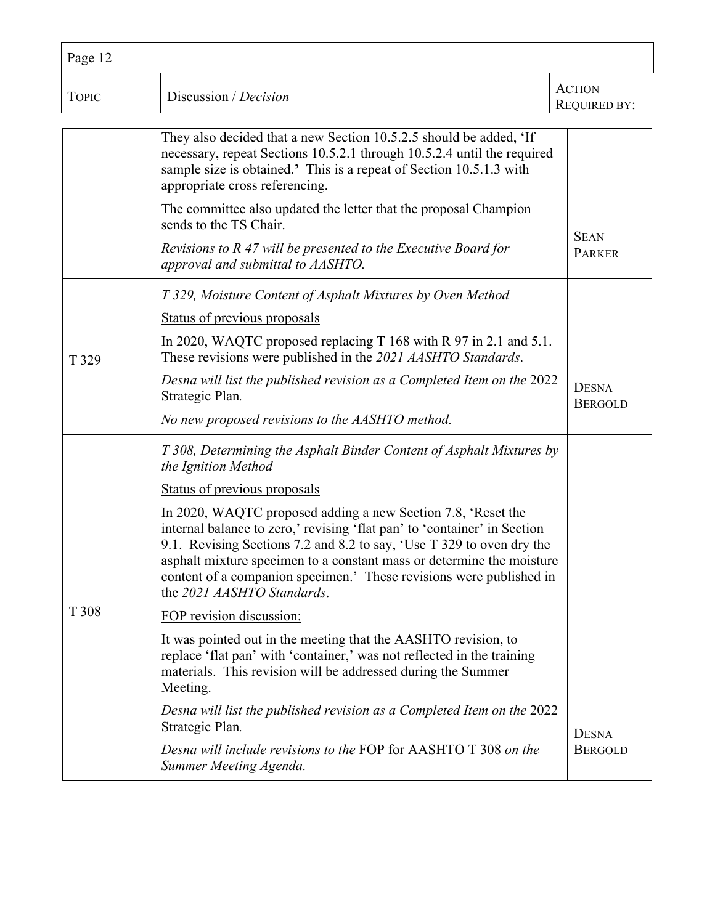| Page 12      |                                                                                                                                                                                                                                                                                                                                                                                                 |                                      |
|--------------|-------------------------------------------------------------------------------------------------------------------------------------------------------------------------------------------------------------------------------------------------------------------------------------------------------------------------------------------------------------------------------------------------|--------------------------------------|
| <b>TOPIC</b> | Discussion / Decision                                                                                                                                                                                                                                                                                                                                                                           | <b>ACTION</b><br><b>REQUIRED BY:</b> |
|              | They also decided that a new Section 10.5.2.5 should be added, 'If<br>necessary, repeat Sections 10.5.2.1 through 10.5.2.4 until the required<br>sample size is obtained.' This is a repeat of Section 10.5.1.3 with<br>appropriate cross referencing.                                                                                                                                          |                                      |
|              | The committee also updated the letter that the proposal Champion<br>sends to the TS Chair.                                                                                                                                                                                                                                                                                                      |                                      |
|              | Revisions to R 47 will be presented to the Executive Board for<br>approval and submittal to AASHTO.                                                                                                                                                                                                                                                                                             | <b>SEAN</b><br><b>PARKER</b>         |
|              | T 329, Moisture Content of Asphalt Mixtures by Oven Method                                                                                                                                                                                                                                                                                                                                      |                                      |
|              | Status of previous proposals                                                                                                                                                                                                                                                                                                                                                                    |                                      |
| T 329        | In 2020, WAQTC proposed replacing T 168 with R 97 in 2.1 and 5.1.<br>These revisions were published in the 2021 AASHTO Standards.                                                                                                                                                                                                                                                               |                                      |
|              | Desna will list the published revision as a Completed Item on the 2022<br>Strategic Plan.                                                                                                                                                                                                                                                                                                       | <b>DESNA</b><br><b>BERGOLD</b>       |
|              | No new proposed revisions to the AASHTO method.                                                                                                                                                                                                                                                                                                                                                 |                                      |
|              | T 308, Determining the Asphalt Binder Content of Asphalt Mixtures by<br>the Ignition Method                                                                                                                                                                                                                                                                                                     |                                      |
|              | Status of previous proposals                                                                                                                                                                                                                                                                                                                                                                    |                                      |
|              | In 2020, WAQTC proposed adding a new Section 7.8, 'Reset the<br>internal balance to zero,' revising 'flat pan' to 'container' in Section<br>9.1. Revising Sections 7.2 and 8.2 to say, 'Use T 329 to oven dry the<br>asphalt mixture specimen to a constant mass or determine the moisture<br>content of a companion specimen.' These revisions were published in<br>the 2021 AASHTO Standards. |                                      |
| T 308        | FOP revision discussion:                                                                                                                                                                                                                                                                                                                                                                        |                                      |
|              | It was pointed out in the meeting that the AASHTO revision, to<br>replace 'flat pan' with 'container,' was not reflected in the training<br>materials. This revision will be addressed during the Summer<br>Meeting.                                                                                                                                                                            |                                      |
|              | Desna will list the published revision as a Completed Item on the 2022<br>Strategic Plan.                                                                                                                                                                                                                                                                                                       | <b>DESNA</b>                         |
|              | Desna will include revisions to the FOP for AASHTO T 308 on the<br>Summer Meeting Agenda.                                                                                                                                                                                                                                                                                                       | <b>BERGOLD</b>                       |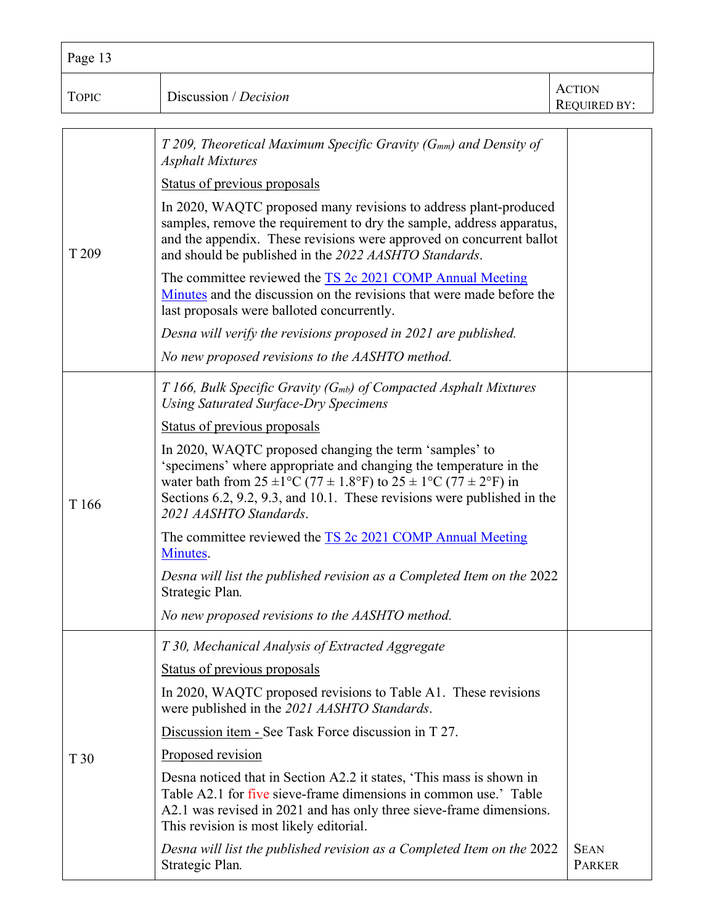| Page 13          |                                                                                                                                                                                                                                                                                                               |                                      |
|------------------|---------------------------------------------------------------------------------------------------------------------------------------------------------------------------------------------------------------------------------------------------------------------------------------------------------------|--------------------------------------|
| <b>TOPIC</b>     | Discussion / Decision                                                                                                                                                                                                                                                                                         | <b>ACTION</b><br><b>REQUIRED BY:</b> |
|                  | T 209, Theoretical Maximum Specific Gravity ( $G_{mm}$ ) and Density of<br><b>Asphalt Mixtures</b>                                                                                                                                                                                                            |                                      |
|                  | Status of previous proposals                                                                                                                                                                                                                                                                                  |                                      |
| T <sub>209</sub> | In 2020, WAQTC proposed many revisions to address plant-produced<br>samples, remove the requirement to dry the sample, address apparatus,<br>and the appendix. These revisions were approved on concurrent ballot<br>and should be published in the 2022 AASHTO Standards.                                    |                                      |
|                  | The committee reviewed the TS 2c 2021 COMP Annual Meeting<br>Minutes and the discussion on the revisions that were made before the<br>last proposals were balloted concurrently.                                                                                                                              |                                      |
|                  | Desna will verify the revisions proposed in 2021 are published.                                                                                                                                                                                                                                               |                                      |
|                  | No new proposed revisions to the AASHTO method.                                                                                                                                                                                                                                                               |                                      |
|                  | $T166$ , Bulk Specific Gravity (G <sub>mb</sub> ) of Compacted Asphalt Mixtures<br><b>Using Saturated Surface-Dry Specimens</b>                                                                                                                                                                               |                                      |
|                  | Status of previous proposals                                                                                                                                                                                                                                                                                  |                                      |
| T <sub>166</sub> | In 2020, WAQTC proposed changing the term 'samples' to<br>'specimens' where appropriate and changing the temperature in the<br>water bath from $25 \pm 1$ °C (77 ± 1.8°F) to $25 \pm 1$ °C (77 ± 2°F) in<br>Sections 6.2, 9.2, 9.3, and 10.1. These revisions were published in the<br>2021 AASHTO Standards. |                                      |
|                  | The committee reviewed the TS 2c 2021 COMP Annual Meeting<br>Minutes.                                                                                                                                                                                                                                         |                                      |
|                  | Desna will list the published revision as a Completed Item on the 2022<br>Strategic Plan.                                                                                                                                                                                                                     |                                      |
|                  | No new proposed revisions to the AASHTO method.                                                                                                                                                                                                                                                               |                                      |
|                  | T 30, Mechanical Analysis of Extracted Aggregate                                                                                                                                                                                                                                                              |                                      |
|                  | Status of previous proposals                                                                                                                                                                                                                                                                                  |                                      |
|                  | In 2020, WAQTC proposed revisions to Table A1. These revisions<br>were published in the 2021 AASHTO Standards.                                                                                                                                                                                                |                                      |
|                  | Discussion item - See Task Force discussion in T 27.                                                                                                                                                                                                                                                          |                                      |
| T <sub>30</sub>  | Proposed revision                                                                                                                                                                                                                                                                                             |                                      |
|                  | Desna noticed that in Section A2.2 it states, 'This mass is shown in<br>Table A2.1 for five sieve-frame dimensions in common use.' Table<br>A2.1 was revised in 2021 and has only three sieve-frame dimensions.<br>This revision is most likely editorial.                                                    |                                      |
|                  | Desna will list the published revision as a Completed Item on the 2022<br>Strategic Plan.                                                                                                                                                                                                                     | <b>SEAN</b><br><b>PARKER</b>         |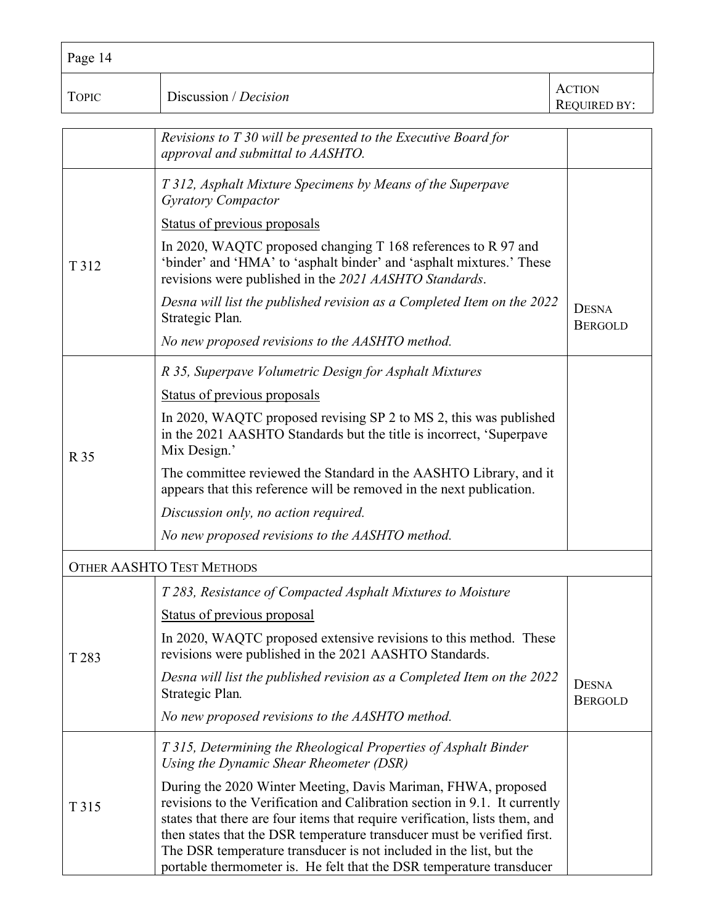| Page 14      |                                                                                                                                                                                                                                                                                                                                                                                                                                                      |                                      |
|--------------|------------------------------------------------------------------------------------------------------------------------------------------------------------------------------------------------------------------------------------------------------------------------------------------------------------------------------------------------------------------------------------------------------------------------------------------------------|--------------------------------------|
| <b>TOPIC</b> | Discussion / Decision                                                                                                                                                                                                                                                                                                                                                                                                                                | <b>ACTION</b><br><b>REQUIRED BY:</b> |
|              | Revisions to T 30 will be presented to the Executive Board for<br>approval and submittal to AASHTO.                                                                                                                                                                                                                                                                                                                                                  |                                      |
|              | T 312, Asphalt Mixture Specimens by Means of the Superpave<br><b>Gyratory Compactor</b>                                                                                                                                                                                                                                                                                                                                                              |                                      |
|              | Status of previous proposals                                                                                                                                                                                                                                                                                                                                                                                                                         |                                      |
| T 312        | In 2020, WAQTC proposed changing T 168 references to R 97 and<br>'binder' and 'HMA' to 'asphalt binder' and 'asphalt mixtures.' These<br>revisions were published in the 2021 AASHTO Standards.                                                                                                                                                                                                                                                      |                                      |
|              | Desna will list the published revision as a Completed Item on the 2022<br>Strategic Plan.                                                                                                                                                                                                                                                                                                                                                            | <b>DESNA</b><br><b>BERGOLD</b>       |
|              | No new proposed revisions to the AASHTO method.                                                                                                                                                                                                                                                                                                                                                                                                      |                                      |
|              | R 35, Superpave Volumetric Design for Asphalt Mixtures                                                                                                                                                                                                                                                                                                                                                                                               |                                      |
|              | Status of previous proposals                                                                                                                                                                                                                                                                                                                                                                                                                         |                                      |
| R 35         | In 2020, WAQTC proposed revising SP 2 to MS 2, this was published<br>in the 2021 AASHTO Standards but the title is incorrect, 'Superpave<br>Mix Design.'                                                                                                                                                                                                                                                                                             |                                      |
|              | The committee reviewed the Standard in the AASHTO Library, and it<br>appears that this reference will be removed in the next publication.                                                                                                                                                                                                                                                                                                            |                                      |
|              | Discussion only, no action required.                                                                                                                                                                                                                                                                                                                                                                                                                 |                                      |
|              | No new proposed revisions to the AASHTO method.                                                                                                                                                                                                                                                                                                                                                                                                      |                                      |
|              | <b>OTHER AASHTO TEST METHODS</b>                                                                                                                                                                                                                                                                                                                                                                                                                     |                                      |
|              | T 283, Resistance of Compacted Asphalt Mixtures to Moisture                                                                                                                                                                                                                                                                                                                                                                                          |                                      |
|              | Status of previous proposal                                                                                                                                                                                                                                                                                                                                                                                                                          |                                      |
| T 283        | In 2020, WAQTC proposed extensive revisions to this method. These<br>revisions were published in the 2021 AASHTO Standards.                                                                                                                                                                                                                                                                                                                          |                                      |
|              | Desna will list the published revision as a Completed Item on the 2022<br>Strategic Plan.                                                                                                                                                                                                                                                                                                                                                            | <b>DESNA</b><br><b>BERGOLD</b>       |
|              | No new proposed revisions to the AASHTO method.                                                                                                                                                                                                                                                                                                                                                                                                      |                                      |
|              | T 315, Determining the Rheological Properties of Asphalt Binder<br>Using the Dynamic Shear Rheometer (DSR)                                                                                                                                                                                                                                                                                                                                           |                                      |
| T 315        | During the 2020 Winter Meeting, Davis Mariman, FHWA, proposed<br>revisions to the Verification and Calibration section in 9.1. It currently<br>states that there are four items that require verification, lists them, and<br>then states that the DSR temperature transducer must be verified first.<br>The DSR temperature transducer is not included in the list, but the<br>portable thermometer is. He felt that the DSR temperature transducer |                                      |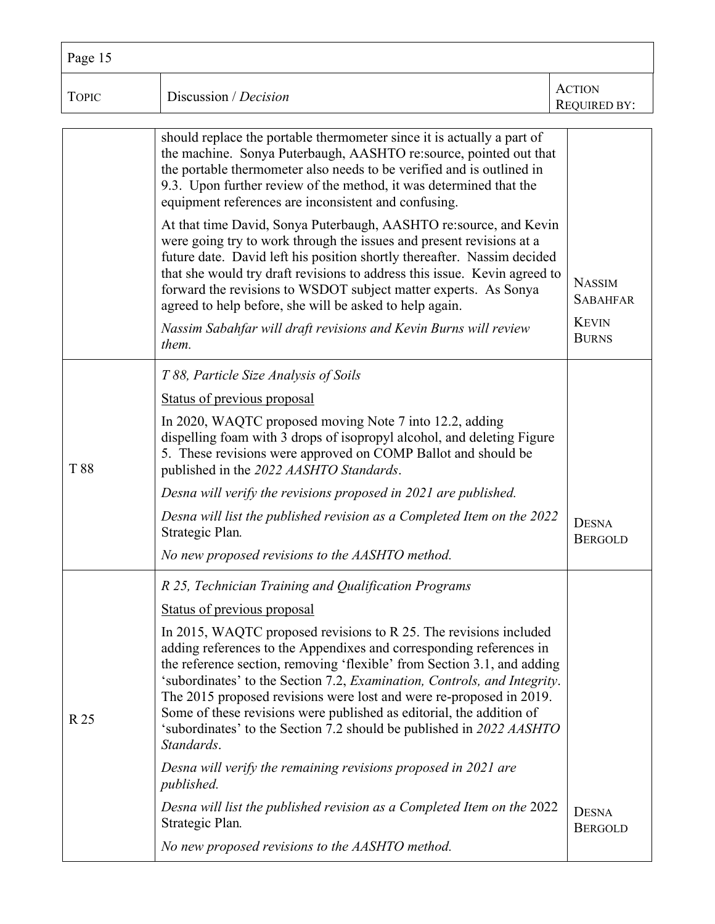| Page 15      |                                                                                                                                                                                                                                                                                                                                                                                                                                                                                                                                                                                                                                                                                                                                                                                                                                                             |                                                                  |
|--------------|-------------------------------------------------------------------------------------------------------------------------------------------------------------------------------------------------------------------------------------------------------------------------------------------------------------------------------------------------------------------------------------------------------------------------------------------------------------------------------------------------------------------------------------------------------------------------------------------------------------------------------------------------------------------------------------------------------------------------------------------------------------------------------------------------------------------------------------------------------------|------------------------------------------------------------------|
| <b>TOPIC</b> | Discussion / Decision                                                                                                                                                                                                                                                                                                                                                                                                                                                                                                                                                                                                                                                                                                                                                                                                                                       | <b>ACTION</b><br><b>REQUIRED BY:</b>                             |
|              | should replace the portable thermometer since it is actually a part of<br>the machine. Sonya Puterbaugh, AASHTO re:source, pointed out that<br>the portable thermometer also needs to be verified and is outlined in<br>9.3. Upon further review of the method, it was determined that the<br>equipment references are inconsistent and confusing.                                                                                                                                                                                                                                                                                                                                                                                                                                                                                                          |                                                                  |
|              | At that time David, Sonya Puterbaugh, AASHTO re:source, and Kevin<br>were going try to work through the issues and present revisions at a<br>future date. David left his position shortly thereafter. Nassim decided<br>that she would try draft revisions to address this issue. Kevin agreed to<br>forward the revisions to WSDOT subject matter experts. As Sonya<br>agreed to help before, she will be asked to help again.<br>Nassim Sabahfar will draft revisions and Kevin Burns will review<br>them.                                                                                                                                                                                                                                                                                                                                                | <b>NASSIM</b><br><b>SABAHFAR</b><br><b>KEVIN</b><br><b>BURNS</b> |
| T88          | T 88, Particle Size Analysis of Soils<br>Status of previous proposal<br>In 2020, WAQTC proposed moving Note 7 into 12.2, adding<br>dispelling foam with 3 drops of isopropyl alcohol, and deleting Figure<br>5. These revisions were approved on COMP Ballot and should be<br>published in the 2022 AASHTO Standards.<br>Desna will verify the revisions proposed in 2021 are published.<br>Desna will list the published revision as a Completed Item on the 2022<br>Strategic Plan.<br>No new proposed revisions to the AASHTO method.                                                                                                                                                                                                                                                                                                                    | <b>DESNA</b><br><b>BERGOLD</b>                                   |
| R 25         | R 25, Technician Training and Qualification Programs<br>Status of previous proposal<br>In 2015, WAQTC proposed revisions to R 25. The revisions included<br>adding references to the Appendixes and corresponding references in<br>the reference section, removing 'flexible' from Section 3.1, and adding<br>'subordinates' to the Section 7.2, Examination, Controls, and Integrity.<br>The 2015 proposed revisions were lost and were re-proposed in 2019.<br>Some of these revisions were published as editorial, the addition of<br>'subordinates' to the Section 7.2 should be published in 2022 AASHTO<br>Standards.<br>Desna will verify the remaining revisions proposed in 2021 are<br>published.<br>Desna will list the published revision as a Completed Item on the 2022<br>Strategic Plan.<br>No new proposed revisions to the AASHTO method. | <b>DESNA</b><br><b>BERGOLD</b>                                   |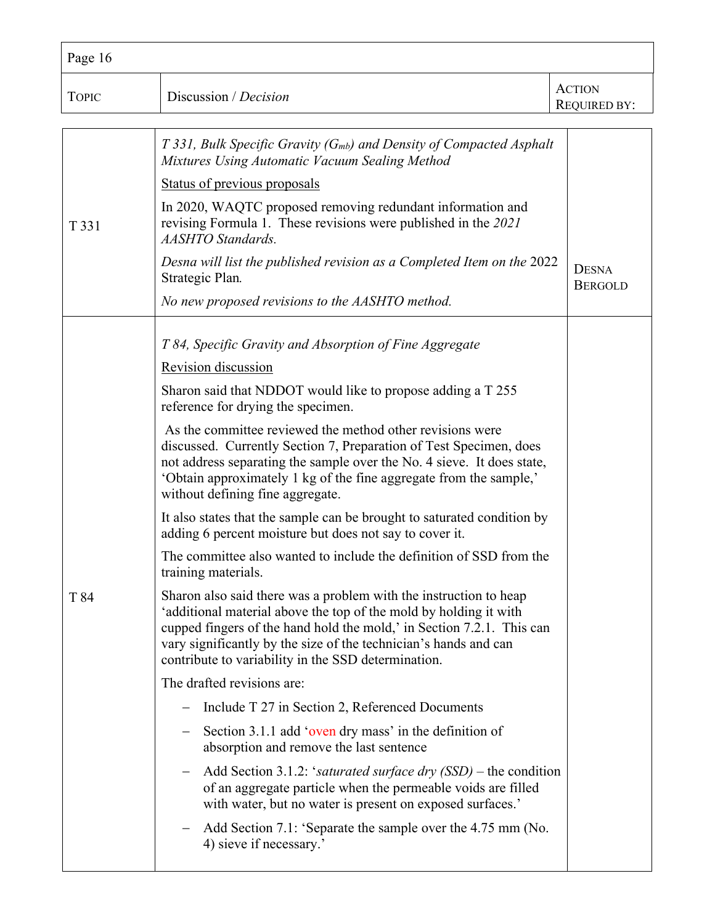| Page 16                                                                                                                                                                                                                                                                                                             |                                                                                                                                                                                                                                                                                                                                                                                     |  |
|---------------------------------------------------------------------------------------------------------------------------------------------------------------------------------------------------------------------------------------------------------------------------------------------------------------------|-------------------------------------------------------------------------------------------------------------------------------------------------------------------------------------------------------------------------------------------------------------------------------------------------------------------------------------------------------------------------------------|--|
| Discussion / Decision                                                                                                                                                                                                                                                                                               | <b>ACTION</b><br>REQUIRED BY:                                                                                                                                                                                                                                                                                                                                                       |  |
| Mixtures Using Automatic Vacuum Sealing Method                                                                                                                                                                                                                                                                      |                                                                                                                                                                                                                                                                                                                                                                                     |  |
| Status of previous proposals                                                                                                                                                                                                                                                                                        |                                                                                                                                                                                                                                                                                                                                                                                     |  |
| In 2020, WAQTC proposed removing redundant information and<br>revising Formula 1. These revisions were published in the 2021<br><b>AASHTO Standards.</b>                                                                                                                                                            |                                                                                                                                                                                                                                                                                                                                                                                     |  |
| Strategic Plan.                                                                                                                                                                                                                                                                                                     | <b>DESNA</b><br><b>BERGOLD</b>                                                                                                                                                                                                                                                                                                                                                      |  |
| No new proposed revisions to the AASHTO method.                                                                                                                                                                                                                                                                     |                                                                                                                                                                                                                                                                                                                                                                                     |  |
|                                                                                                                                                                                                                                                                                                                     |                                                                                                                                                                                                                                                                                                                                                                                     |  |
|                                                                                                                                                                                                                                                                                                                     |                                                                                                                                                                                                                                                                                                                                                                                     |  |
| Sharon said that NDDOT would like to propose adding a T 255<br>reference for drying the specimen.                                                                                                                                                                                                                   |                                                                                                                                                                                                                                                                                                                                                                                     |  |
| As the committee reviewed the method other revisions were<br>discussed. Currently Section 7, Preparation of Test Specimen, does<br>not address separating the sample over the No. 4 sieve. It does state,<br>'Obtain approximately 1 kg of the fine aggregate from the sample,'<br>without defining fine aggregate. |                                                                                                                                                                                                                                                                                                                                                                                     |  |
| It also states that the sample can be brought to saturated condition by<br>adding 6 percent moisture but does not say to cover it.                                                                                                                                                                                  |                                                                                                                                                                                                                                                                                                                                                                                     |  |
| The committee also wanted to include the definition of SSD from the<br>training materials.                                                                                                                                                                                                                          |                                                                                                                                                                                                                                                                                                                                                                                     |  |
| Sharon also said there was a problem with the instruction to heap<br>'additional material above the top of the mold by holding it with<br>vary significantly by the size of the technician's hands and can<br>contribute to variability in the SSD determination.                                                   |                                                                                                                                                                                                                                                                                                                                                                                     |  |
| The drafted revisions are:                                                                                                                                                                                                                                                                                          |                                                                                                                                                                                                                                                                                                                                                                                     |  |
| Include T 27 in Section 2, Referenced Documents<br>$\overline{\phantom{m}}$                                                                                                                                                                                                                                         |                                                                                                                                                                                                                                                                                                                                                                                     |  |
| Section 3.1.1 add 'oven dry mass' in the definition of<br>absorption and remove the last sentence                                                                                                                                                                                                                   |                                                                                                                                                                                                                                                                                                                                                                                     |  |
| of an aggregate particle when the permeable voids are filled<br>with water, but no water is present on exposed surfaces.'                                                                                                                                                                                           |                                                                                                                                                                                                                                                                                                                                                                                     |  |
| Add Section 7.1: 'Separate the sample over the 4.75 mm (No.<br>4) sieve if necessary.'                                                                                                                                                                                                                              |                                                                                                                                                                                                                                                                                                                                                                                     |  |
|                                                                                                                                                                                                                                                                                                                     | $T$ 331, Bulk Specific Gravity ( $Gmb$ ) and Density of Compacted Asphalt<br>Desna will list the published revision as a Completed Item on the 2022<br>T 84, Specific Gravity and Absorption of Fine Aggregate<br>Revision discussion<br>cupped fingers of the hand hold the mold,' in Section 7.2.1. This can<br>Add Section 3.1.2: 'saturated surface dry $(SSD)$ – the condition |  |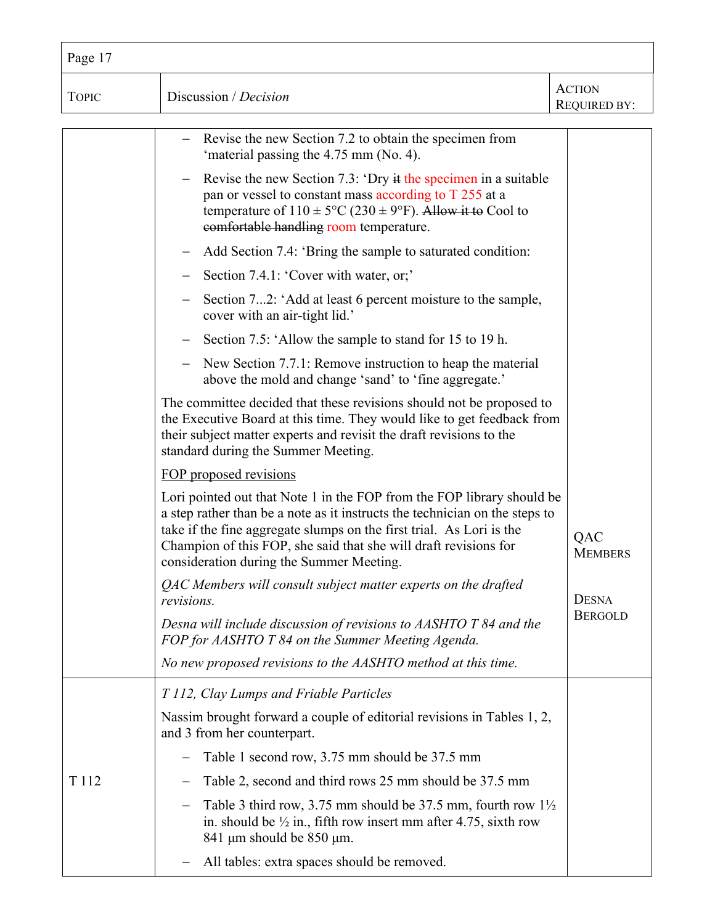| Page 17          |                                                                                                                                                                                                                                                                                                                                               |                                      |
|------------------|-----------------------------------------------------------------------------------------------------------------------------------------------------------------------------------------------------------------------------------------------------------------------------------------------------------------------------------------------|--------------------------------------|
| <b>TOPIC</b>     | Discussion / Decision                                                                                                                                                                                                                                                                                                                         | <b>ACTION</b><br><b>REQUIRED BY:</b> |
|                  | Revise the new Section 7.2 to obtain the specimen from<br>'material passing the 4.75 mm (No. 4).                                                                                                                                                                                                                                              |                                      |
|                  | Revise the new Section 7.3: 'Dry it the specimen in a suitable<br>$-$<br>pan or vessel to constant mass according to T 255 at a<br>temperature of $110 \pm 5^{\circ}\text{C}$ (230 $\pm$ 9°F). Allow it to Cool to<br>comfortable handling room temperature.                                                                                  |                                      |
|                  | Add Section 7.4: 'Bring the sample to saturated condition:                                                                                                                                                                                                                                                                                    |                                      |
|                  | Section 7.4.1: 'Cover with water, or;'                                                                                                                                                                                                                                                                                                        |                                      |
|                  | Section 72: 'Add at least 6 percent moisture to the sample,<br>cover with an air-tight lid.'                                                                                                                                                                                                                                                  |                                      |
|                  | Section 7.5: 'Allow the sample to stand for 15 to 19 h.                                                                                                                                                                                                                                                                                       |                                      |
|                  | New Section 7.7.1: Remove instruction to heap the material<br>above the mold and change 'sand' to 'fine aggregate.'                                                                                                                                                                                                                           |                                      |
|                  | The committee decided that these revisions should not be proposed to<br>the Executive Board at this time. They would like to get feedback from<br>their subject matter experts and revisit the draft revisions to the<br>standard during the Summer Meeting.                                                                                  |                                      |
|                  | FOP proposed revisions                                                                                                                                                                                                                                                                                                                        |                                      |
|                  | Lori pointed out that Note 1 in the FOP from the FOP library should be<br>a step rather than be a note as it instructs the technician on the steps to<br>take if the fine aggregate slumps on the first trial. As Lori is the<br>Champion of this FOP, she said that she will draft revisions for<br>consideration during the Summer Meeting. | QAC<br><b>MEMBERS</b>                |
|                  | QAC Members will consult subject matter experts on the drafted<br>revisions.                                                                                                                                                                                                                                                                  | <b>DESNA</b>                         |
|                  | Desna will include discussion of revisions to AASHTO T 84 and the<br>FOP for AASHTO T 84 on the Summer Meeting Agenda.                                                                                                                                                                                                                        | <b>BERGOLD</b>                       |
|                  | No new proposed revisions to the AASHTO method at this time.                                                                                                                                                                                                                                                                                  |                                      |
|                  | T 112, Clay Lumps and Friable Particles                                                                                                                                                                                                                                                                                                       |                                      |
|                  | Nassim brought forward a couple of editorial revisions in Tables 1, 2,<br>and 3 from her counterpart.                                                                                                                                                                                                                                         |                                      |
|                  | Table 1 second row, 3.75 mm should be 37.5 mm<br>$\qquad \qquad -$                                                                                                                                                                                                                                                                            |                                      |
| T <sub>112</sub> | Table 2, second and third rows 25 mm should be 37.5 mm                                                                                                                                                                                                                                                                                        |                                      |
|                  | Table 3 third row, 3.75 mm should be 37.5 mm, fourth row $1\frac{1}{2}$<br>$\overline{\phantom{m}}$<br>in. should be $\frac{1}{2}$ in., fifth row insert mm after 4.75, sixth row<br>841 $\mu$ m should be 850 $\mu$ m.                                                                                                                       |                                      |
|                  | All tables: extra spaces should be removed.<br>—                                                                                                                                                                                                                                                                                              |                                      |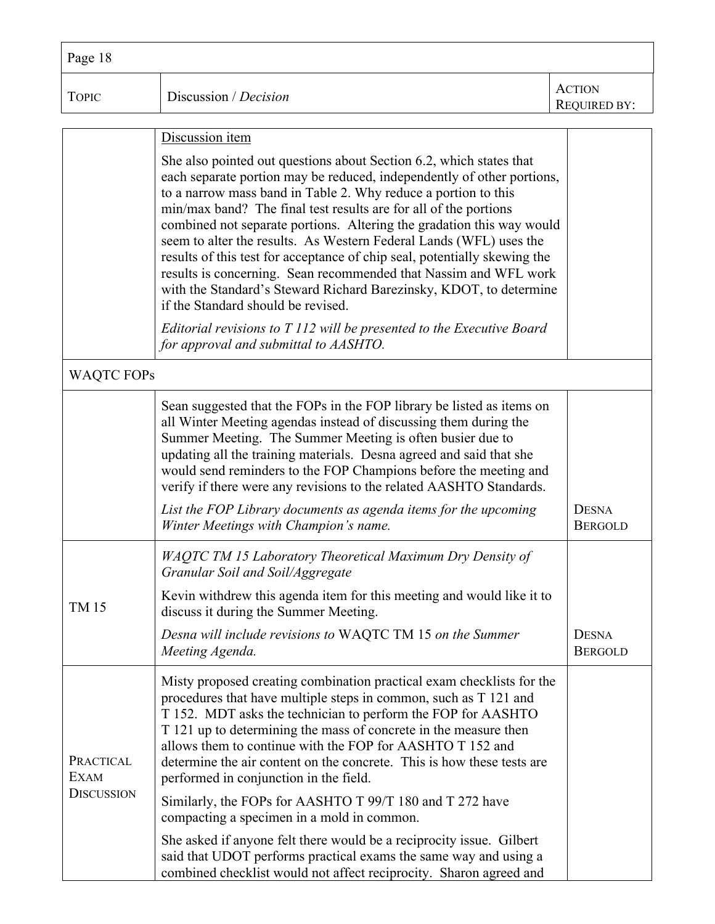| Page 18      |                       |                                      |
|--------------|-----------------------|--------------------------------------|
| <b>TOPIC</b> | Discussion / Decision | <b>ACTION</b><br><b>REQUIRED BY:</b> |
|              |                       |                                      |
|              | Discussion item       |                                      |

|                                        | She also pointed out questions about Section 6.2, which states that<br>each separate portion may be reduced, independently of other portions,<br>to a narrow mass band in Table 2. Why reduce a portion to this<br>min/max band? The final test results are for all of the portions<br>combined not separate portions. Altering the gradation this way would<br>seem to alter the results. As Western Federal Lands (WFL) uses the<br>results of this test for acceptance of chip seal, potentially skewing the<br>results is concerning. Sean recommended that Nassim and WFL work<br>with the Standard's Steward Richard Barezinsky, KDOT, to determine<br>if the Standard should be revised. |                                |
|----------------------------------------|-------------------------------------------------------------------------------------------------------------------------------------------------------------------------------------------------------------------------------------------------------------------------------------------------------------------------------------------------------------------------------------------------------------------------------------------------------------------------------------------------------------------------------------------------------------------------------------------------------------------------------------------------------------------------------------------------|--------------------------------|
|                                        | Editorial revisions to T 112 will be presented to the Executive Board<br>for approval and submittal to AASHTO.                                                                                                                                                                                                                                                                                                                                                                                                                                                                                                                                                                                  |                                |
| <b>WAQTC FOPs</b>                      |                                                                                                                                                                                                                                                                                                                                                                                                                                                                                                                                                                                                                                                                                                 |                                |
|                                        | Sean suggested that the FOPs in the FOP library be listed as items on<br>all Winter Meeting agendas instead of discussing them during the<br>Summer Meeting. The Summer Meeting is often busier due to<br>updating all the training materials. Desna agreed and said that she<br>would send reminders to the FOP Champions before the meeting and<br>verify if there were any revisions to the related AASHTO Standards.                                                                                                                                                                                                                                                                        |                                |
|                                        | List the FOP Library documents as agenda items for the upcoming<br>Winter Meetings with Champion's name.                                                                                                                                                                                                                                                                                                                                                                                                                                                                                                                                                                                        | <b>DESNA</b><br><b>BERGOLD</b> |
|                                        | <b>WAQTC TM 15 Laboratory Theoretical Maximum Dry Density of</b><br>Granular Soil and Soil/Aggregate                                                                                                                                                                                                                                                                                                                                                                                                                                                                                                                                                                                            |                                |
| <b>TM15</b>                            | Kevin withdrew this agenda item for this meeting and would like it to<br>discuss it during the Summer Meeting.                                                                                                                                                                                                                                                                                                                                                                                                                                                                                                                                                                                  |                                |
|                                        | Desna will include revisions to WAQTC TM 15 on the Summer<br>Meeting Agenda.                                                                                                                                                                                                                                                                                                                                                                                                                                                                                                                                                                                                                    | <b>DESNA</b><br><b>BERGOLD</b> |
| PRACTICAL<br>EXAM<br><b>DISCUSSION</b> | Misty proposed creating combination practical exam checklists for the<br>procedures that have multiple steps in common, such as T 121 and<br>T 152. MDT asks the technician to perform the FOP for AASHTO<br>T 121 up to determining the mass of concrete in the measure then<br>allows them to continue with the FOP for AASHTO T 152 and<br>determine the air content on the concrete. This is how these tests are<br>performed in conjunction in the field.                                                                                                                                                                                                                                  |                                |
|                                        | Similarly, the FOPs for AASHTO T 99/T 180 and T 272 have<br>compacting a specimen in a mold in common.                                                                                                                                                                                                                                                                                                                                                                                                                                                                                                                                                                                          |                                |
|                                        | She asked if anyone felt there would be a reciprocity issue. Gilbert<br>said that UDOT performs practical exams the same way and using a<br>combined checklist would not affect reciprocity. Sharon agreed and                                                                                                                                                                                                                                                                                                                                                                                                                                                                                  |                                |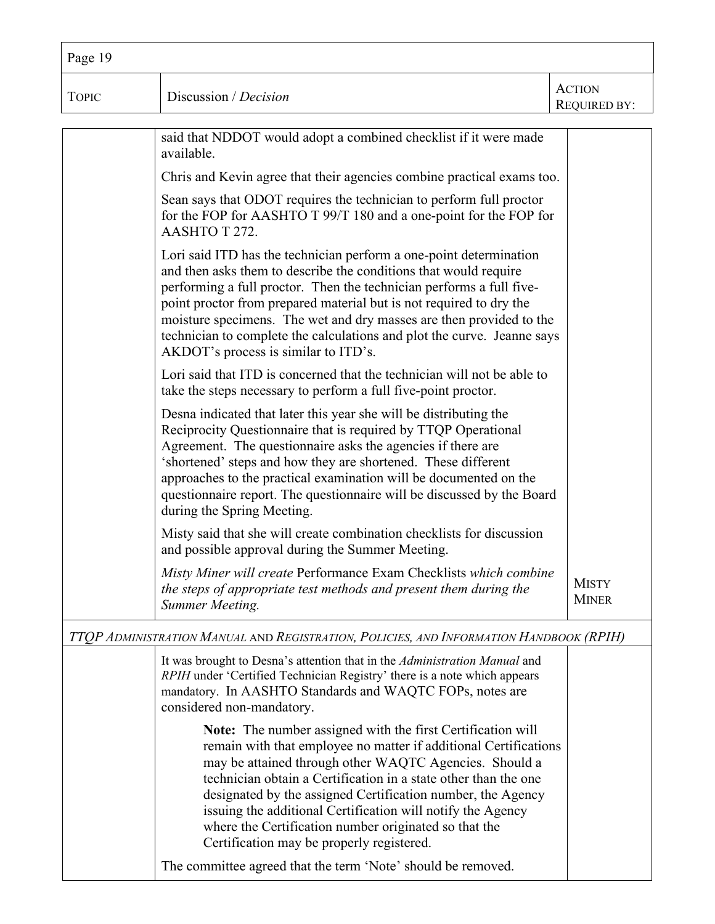| Page 19      |                                                                                                                                                                                                                                                                                                                                                                                                                                                                                                                                                                         |                               |
|--------------|-------------------------------------------------------------------------------------------------------------------------------------------------------------------------------------------------------------------------------------------------------------------------------------------------------------------------------------------------------------------------------------------------------------------------------------------------------------------------------------------------------------------------------------------------------------------------|-------------------------------|
| <b>TOPIC</b> | Discussion / Decision                                                                                                                                                                                                                                                                                                                                                                                                                                                                                                                                                   | <b>ACTION</b><br>REQUIRED BY: |
|              | said that NDDOT would adopt a combined checklist if it were made<br>available.                                                                                                                                                                                                                                                                                                                                                                                                                                                                                          |                               |
|              | Chris and Kevin agree that their agencies combine practical exams too.                                                                                                                                                                                                                                                                                                                                                                                                                                                                                                  |                               |
|              | Sean says that ODOT requires the technician to perform full proctor<br>for the FOP for AASHTO T 99/T 180 and a one-point for the FOP for<br>AASHTO T 272.                                                                                                                                                                                                                                                                                                                                                                                                               |                               |
|              | Lori said ITD has the technician perform a one-point determination<br>and then asks them to describe the conditions that would require<br>performing a full proctor. Then the technician performs a full five-<br>point proctor from prepared material but is not required to dry the<br>moisture specimens. The wet and dry masses are then provided to the<br>technician to complete the calculations and plot the curve. Jeanne says<br>AKDOT's process is similar to ITD's.                                                                                         |                               |
|              | Lori said that ITD is concerned that the technician will not be able to<br>take the steps necessary to perform a full five-point proctor.                                                                                                                                                                                                                                                                                                                                                                                                                               |                               |
|              | Desna indicated that later this year she will be distributing the<br>Reciprocity Questionnaire that is required by TTQP Operational<br>Agreement. The questionnaire asks the agencies if there are<br>'shortened' steps and how they are shortened. These different<br>approaches to the practical examination will be documented on the<br>questionnaire report. The questionnaire will be discussed by the Board<br>during the Spring Meeting.                                                                                                                        |                               |
|              | Misty said that she will create combination checklists for discussion<br>and possible approval during the Summer Meeting.                                                                                                                                                                                                                                                                                                                                                                                                                                               |                               |
|              | Misty Miner will create Performance Exam Checklists which combine<br>the steps of appropriate test methods and present them during the<br>Summer Meeting.                                                                                                                                                                                                                                                                                                                                                                                                               | <b>MISTY</b><br><b>MINER</b>  |
|              | TTOP ADMINISTRATION MANUAL AND REGISTRATION, POLICIES, AND INFORMATION HANDBOOK (RPIH)                                                                                                                                                                                                                                                                                                                                                                                                                                                                                  |                               |
|              | It was brought to Desna's attention that in the Administration Manual and<br>RPIH under 'Certified Technician Registry' there is a note which appears<br>mandatory. In AASHTO Standards and WAQTC FOPs, notes are<br>considered non-mandatory.                                                                                                                                                                                                                                                                                                                          |                               |
|              | <b>Note:</b> The number assigned with the first Certification will<br>remain with that employee no matter if additional Certifications<br>may be attained through other WAQTC Agencies. Should a<br>technician obtain a Certification in a state other than the one<br>designated by the assigned Certification number, the Agency<br>issuing the additional Certification will notify the Agency<br>where the Certification number originated so that the<br>Certification may be properly registered.<br>The committee agreed that the term 'Note' should be removed. |                               |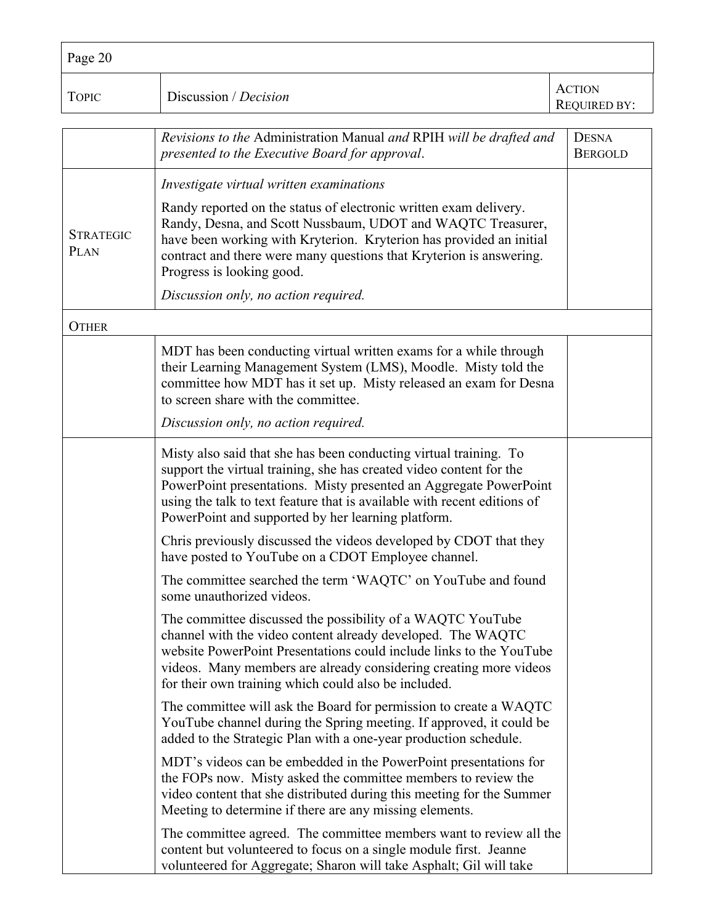| Page 20                  |                                                                                                                                                                                                                                                                                                                                                 |                                      |
|--------------------------|-------------------------------------------------------------------------------------------------------------------------------------------------------------------------------------------------------------------------------------------------------------------------------------------------------------------------------------------------|--------------------------------------|
| <b>TOPIC</b>             | Discussion / Decision                                                                                                                                                                                                                                                                                                                           | <b>ACTION</b><br><b>REQUIRED BY:</b> |
|                          | Revisions to the Administration Manual and RPIH will be drafted and<br>presented to the Executive Board for approval.                                                                                                                                                                                                                           | <b>DESNA</b><br><b>BERGOLD</b>       |
|                          | Investigate virtual written examinations                                                                                                                                                                                                                                                                                                        |                                      |
| <b>STRATEGIC</b><br>PLAN | Randy reported on the status of electronic written exam delivery.<br>Randy, Desna, and Scott Nussbaum, UDOT and WAQTC Treasurer,<br>have been working with Kryterion. Kryterion has provided an initial<br>contract and there were many questions that Kryterion is answering.<br>Progress is looking good.                                     |                                      |
|                          | Discussion only, no action required.                                                                                                                                                                                                                                                                                                            |                                      |
| <b>OTHER</b>             |                                                                                                                                                                                                                                                                                                                                                 |                                      |
|                          | MDT has been conducting virtual written exams for a while through<br>their Learning Management System (LMS), Moodle. Misty told the<br>committee how MDT has it set up. Misty released an exam for Desna<br>to screen share with the committee.                                                                                                 |                                      |
|                          | Discussion only, no action required.                                                                                                                                                                                                                                                                                                            |                                      |
|                          | Misty also said that she has been conducting virtual training. To<br>support the virtual training, she has created video content for the<br>PowerPoint presentations. Misty presented an Aggregate PowerPoint<br>using the talk to text feature that is available with recent editions of<br>PowerPoint and supported by her learning platform. |                                      |
|                          | Chris previously discussed the videos developed by CDOT that they<br>have posted to YouTube on a CDOT Employee channel.                                                                                                                                                                                                                         |                                      |
|                          | The committee searched the term 'WAQTC' on YouTube and found<br>some unauthorized videos.                                                                                                                                                                                                                                                       |                                      |
|                          | The committee discussed the possibility of a WAQTC YouTube<br>channel with the video content already developed. The WAQTC<br>website PowerPoint Presentations could include links to the YouTube<br>videos. Many members are already considering creating more videos<br>for their own training which could also be included.                   |                                      |
|                          | The committee will ask the Board for permission to create a WAQTC<br>YouTube channel during the Spring meeting. If approved, it could be<br>added to the Strategic Plan with a one-year production schedule.                                                                                                                                    |                                      |
|                          | MDT's videos can be embedded in the PowerPoint presentations for<br>the FOPs now. Misty asked the committee members to review the<br>video content that she distributed during this meeting for the Summer<br>Meeting to determine if there are any missing elements.                                                                           |                                      |
|                          | The committee agreed. The committee members want to review all the<br>content but volunteered to focus on a single module first. Jeanne<br>volunteered for Aggregate; Sharon will take Asphalt; Gil will take                                                                                                                                   |                                      |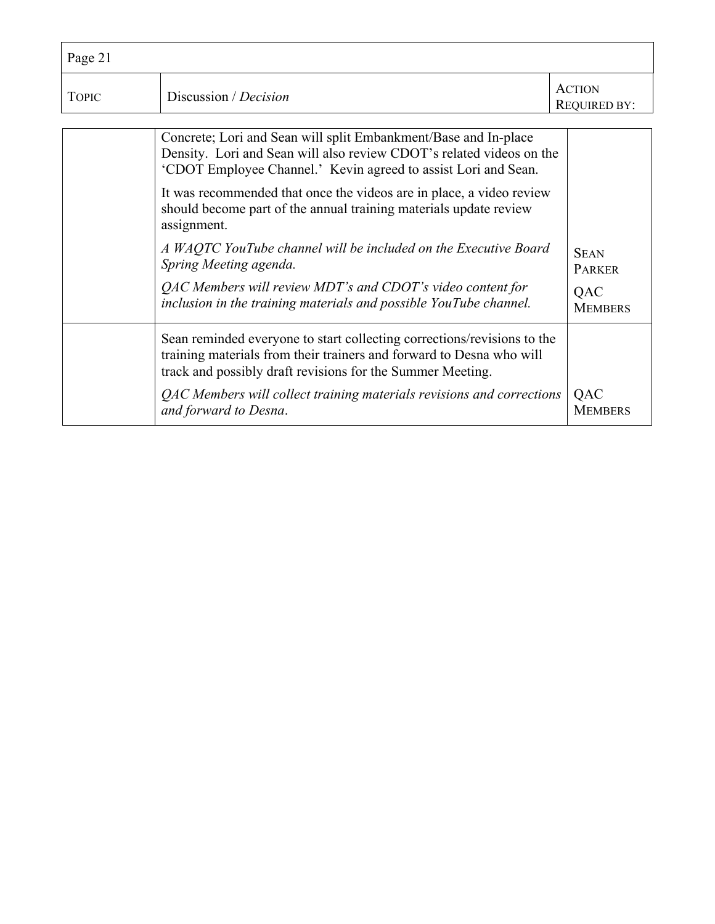| Page 21      |                                                                                                                                                                                                                                                                                                                                                                                                                                                                                                                                                                                                       |                                                              |
|--------------|-------------------------------------------------------------------------------------------------------------------------------------------------------------------------------------------------------------------------------------------------------------------------------------------------------------------------------------------------------------------------------------------------------------------------------------------------------------------------------------------------------------------------------------------------------------------------------------------------------|--------------------------------------------------------------|
| <b>TOPIC</b> | Discussion / Decision                                                                                                                                                                                                                                                                                                                                                                                                                                                                                                                                                                                 | <b>ACTION</b><br><b>REQUIRED BY:</b>                         |
|              | Concrete; Lori and Sean will split Embankment/Base and In-place<br>Density. Lori and Sean will also review CDOT's related videos on the<br>'CDOT Employee Channel.' Kevin agreed to assist Lori and Sean.<br>It was recommended that once the videos are in place, a video review<br>should become part of the annual training materials update review<br>assignment.<br>A WAQTC YouTube channel will be included on the Executive Board<br>Spring Meeting agenda.<br>QAC Members will review MDT's and CDOT's video content for<br>inclusion in the training materials and possible YouTube channel. | <b>SEAN</b><br><b>PARKER</b><br><b>QAC</b><br><b>MEMBERS</b> |
|              | Sean reminded everyone to start collecting corrections/revisions to the<br>training materials from their trainers and forward to Desna who will<br>track and possibly draft revisions for the Summer Meeting.<br>QAC Members will collect training materials revisions and corrections<br>and forward to Desna.                                                                                                                                                                                                                                                                                       | QAC<br><b>MEMBERS</b>                                        |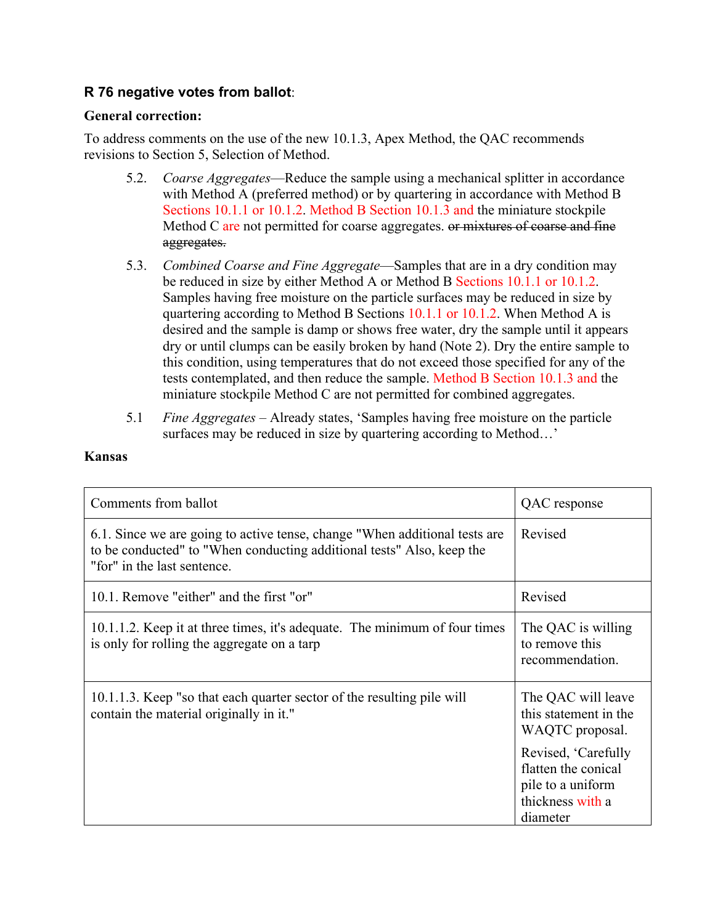# **R 76 negative votes from ballot**:

### **General correction:**

To address comments on the use of the new 10.1.3, Apex Method, the QAC recommends revisions to Section 5, Selection of Method.

- 5.2. *Coarse Aggregates*—Reduce the sample using a mechanical splitter in accordance with Method A (preferred method) or by quartering in accordance with Method B Sections 10.1.1 or 10.1.2. Method B Section 10.1.3 and the miniature stockpile Method C are not permitted for coarse aggregates. <del>or mixtures of coarse and fine</del> aggregates.
- 5.3. *Combined Coarse and Fine Aggregate*—Samples that are in a dry condition may be reduced in size by either Method A or Method B Sections 10.1.1 or 10.1.2. Samples having free moisture on the particle surfaces may be reduced in size by quartering according to Method B Sections 10.1.1 or 10.1.2. When Method A is desired and the sample is damp or shows free water, dry the sample until it appears dry or until clumps can be easily broken by hand (Note 2). Dry the entire sample to this condition, using temperatures that do not exceed those specified for any of the tests contemplated, and then reduce the sample. Method B Section 10.1.3 and the miniature stockpile Method C are not permitted for combined aggregates.
- 5.1 *Fine Aggregates*  Already states, 'Samples having free moisture on the particle surfaces may be reduced in size by quartering according to Method…'

#### **Kansas**

| Comments from ballot                                                                                                                                                               | QAC response                                                                                                                                                      |
|------------------------------------------------------------------------------------------------------------------------------------------------------------------------------------|-------------------------------------------------------------------------------------------------------------------------------------------------------------------|
| 6.1. Since we are going to active tense, change "When additional tests are<br>to be conducted" to "When conducting additional tests" Also, keep the<br>"for" in the last sentence. | Revised                                                                                                                                                           |
| 10.1. Remove "either" and the first "or"                                                                                                                                           | Revised                                                                                                                                                           |
| 10.1.1.2. Keep it at three times, it's adequate. The minimum of four times<br>is only for rolling the aggregate on a tarp                                                          | The QAC is willing<br>to remove this<br>recommendation.                                                                                                           |
| 10.1.1.3. Keep "so that each quarter sector of the resulting pile will<br>contain the material originally in it."                                                                  | The QAC will leave<br>this statement in the<br>WAQTC proposal.<br>Revised, 'Carefully<br>flatten the conical<br>pile to a uniform<br>thickness with a<br>diameter |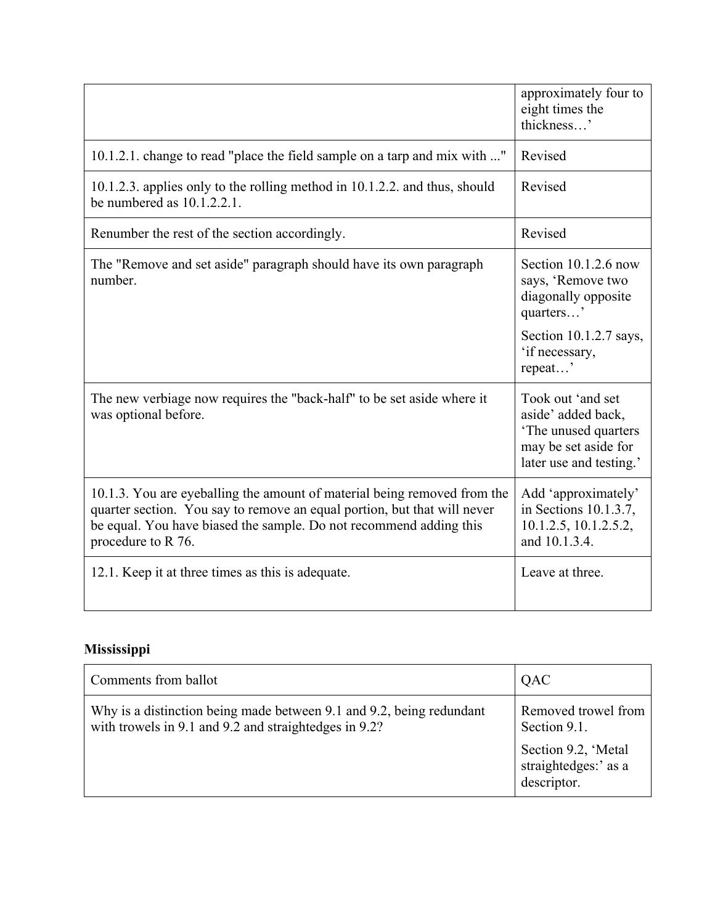|                                                                                                                                                                                                                                                  | approximately four to<br>eight times the<br>thickness'                                                             |
|--------------------------------------------------------------------------------------------------------------------------------------------------------------------------------------------------------------------------------------------------|--------------------------------------------------------------------------------------------------------------------|
| 10.1.2.1. change to read "place the field sample on a tarp and mix with "                                                                                                                                                                        | Revised                                                                                                            |
| 10.1.2.3. applies only to the rolling method in 10.1.2.2. and thus, should<br>be numbered as $10.1.2.2.1$ .                                                                                                                                      | Revised                                                                                                            |
| Renumber the rest of the section accordingly.                                                                                                                                                                                                    | Revised                                                                                                            |
| The "Remove and set aside" paragraph should have its own paragraph<br>number.                                                                                                                                                                    | Section $10.1.2.6$ now<br>says, 'Remove two<br>diagonally opposite<br>quarters'                                    |
|                                                                                                                                                                                                                                                  | Section 10.1.2.7 says,<br>'if necessary,<br>repeat'                                                                |
| The new verbiage now requires the "back-half" to be set aside where it<br>was optional before.                                                                                                                                                   | Took out 'and set<br>aside' added back,<br>'The unused quarters<br>may be set aside for<br>later use and testing.' |
| 10.1.3. You are eyeballing the amount of material being removed from the<br>quarter section. You say to remove an equal portion, but that will never<br>be equal. You have biased the sample. Do not recommend adding this<br>procedure to R 76. | Add 'approximately'<br>in Sections 10.1.3.7,<br>10.1.2.5, 10.1.2.5.2,<br>and 10.1.3.4.                             |
| 12.1. Keep it at three times as this is adequate.                                                                                                                                                                                                | Leave at three.                                                                                                    |

# **Mississippi**

| Comments from ballot                                                                                                          | QAC                                                                                               |
|-------------------------------------------------------------------------------------------------------------------------------|---------------------------------------------------------------------------------------------------|
| Why is a distinction being made between 9.1 and 9.2, being redundant<br>with trowels in 9.1 and 9.2 and straightedges in 9.2? | Removed trowel from<br>Section 9.1.<br>Section 9.2, 'Metal<br>straightedges:' as a<br>descriptor. |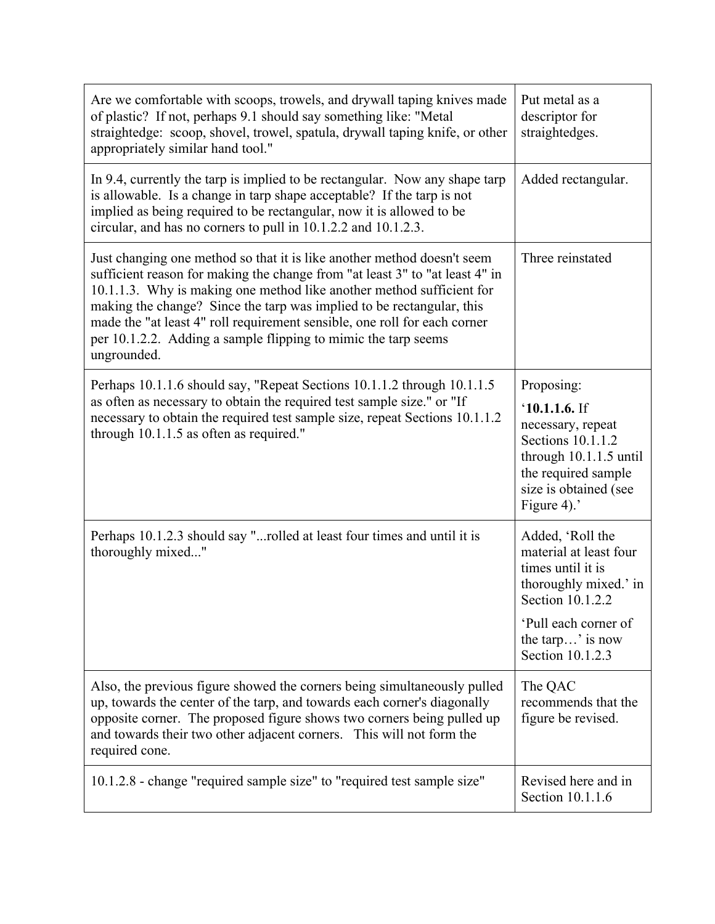| Are we comfortable with scoops, trowels, and drywall taping knives made<br>of plastic? If not, perhaps 9.1 should say something like: "Metal<br>straightedge: scoop, shovel, trowel, spatula, drywall taping knife, or other<br>appropriately similar hand tool."                                                                                                                                                                                                       | Put metal as a<br>descriptor for<br>straightedges.                                                                                                                           |
|-------------------------------------------------------------------------------------------------------------------------------------------------------------------------------------------------------------------------------------------------------------------------------------------------------------------------------------------------------------------------------------------------------------------------------------------------------------------------|------------------------------------------------------------------------------------------------------------------------------------------------------------------------------|
| In 9.4, currently the tarp is implied to be rectangular. Now any shape tarp<br>is allowable. Is a change in tarp shape acceptable? If the tarp is not<br>implied as being required to be rectangular, now it is allowed to be<br>circular, and has no corners to pull in 10.1.2.2 and 10.1.2.3.                                                                                                                                                                         | Added rectangular.                                                                                                                                                           |
| Just changing one method so that it is like another method doesn't seem<br>sufficient reason for making the change from "at least 3" to "at least 4" in<br>10.1.1.3. Why is making one method like another method sufficient for<br>making the change? Since the tarp was implied to be rectangular, this<br>made the "at least 4" roll requirement sensible, one roll for each corner<br>per 10.1.2.2. Adding a sample flipping to mimic the tarp seems<br>ungrounded. | Three reinstated                                                                                                                                                             |
| Perhaps 10.1.1.6 should say, "Repeat Sections 10.1.1.2 through 10.1.1.5<br>as often as necessary to obtain the required test sample size." or "If<br>necessary to obtain the required test sample size, repeat Sections 10.1.1.2<br>through 10.1.1.5 as often as required."                                                                                                                                                                                             | Proposing:<br>$'10.1.1.6.$ If<br>necessary, repeat<br>Sections 10.1.1.2<br>through 10.1.1.5 until<br>the required sample<br>size is obtained (see<br>Figure 4).'             |
| Perhaps 10.1.2.3 should say "rolled at least four times and until it is<br>thoroughly mixed"                                                                                                                                                                                                                                                                                                                                                                            | Added, 'Roll the<br>material at least four<br>times until it is<br>thoroughly mixed.' in<br>Section 10.1.2.2<br>'Pull each corner of<br>the tarp' is now<br>Section 10.1.2.3 |
| Also, the previous figure showed the corners being simultaneously pulled<br>up, towards the center of the tarp, and towards each corner's diagonally<br>opposite corner. The proposed figure shows two corners being pulled up<br>and towards their two other adjacent corners. This will not form the<br>required cone.                                                                                                                                                | The QAC<br>recommends that the<br>figure be revised.                                                                                                                         |
| 10.1.2.8 - change "required sample size" to "required test sample size"                                                                                                                                                                                                                                                                                                                                                                                                 | Revised here and in<br>Section 10.1.1.6                                                                                                                                      |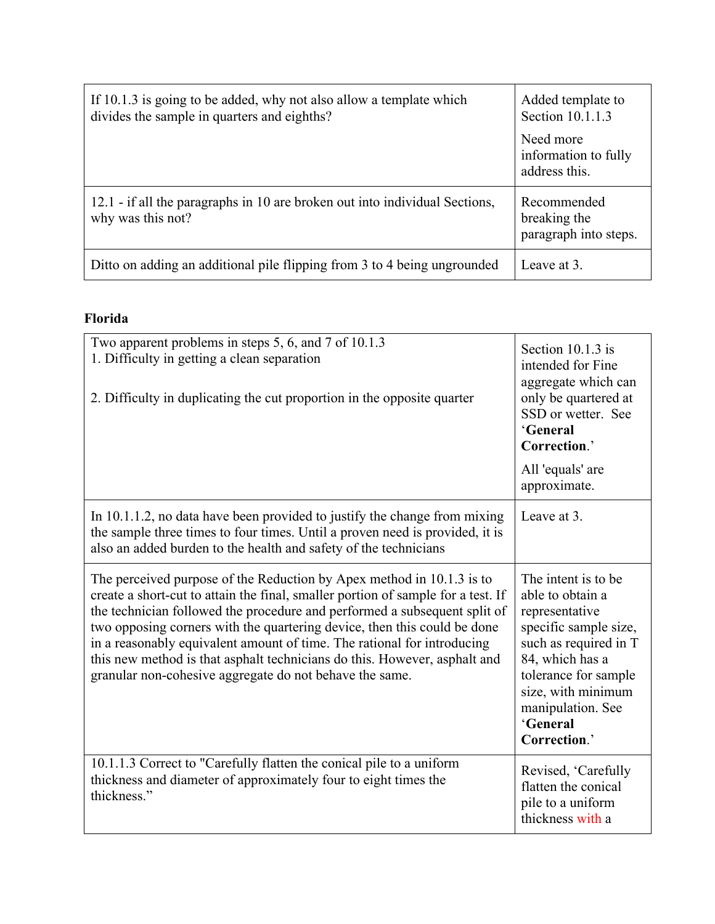| If 10.1.3 is going to be added, why not also allow a template which<br>divides the sample in quarters and eighths? | Added template to<br>Section 10.1.1.3                |
|--------------------------------------------------------------------------------------------------------------------|------------------------------------------------------|
|                                                                                                                    | Need more<br>information to fully<br>address this.   |
| 12.1 - if all the paragraphs in 10 are broken out into individual Sections,<br>why was this not?                   | Recommended<br>breaking the<br>paragraph into steps. |
| Ditto on adding an additional pile flipping from 3 to 4 being ungrounded                                           | Leave at 3.                                          |

## **Florida**

| Two apparent problems in steps 5, 6, and 7 of 10.1.3<br>1. Difficulty in getting a clean separation<br>2. Difficulty in duplicating the cut proportion in the opposite quarter                                                                                                                                                                                                                                                                                                                                                        | Section 10.1.3 is<br>intended for Fine<br>aggregate which can<br>only be quartered at<br>SSD or wetter. See<br>'General<br>Correction.'                                                                                        |
|---------------------------------------------------------------------------------------------------------------------------------------------------------------------------------------------------------------------------------------------------------------------------------------------------------------------------------------------------------------------------------------------------------------------------------------------------------------------------------------------------------------------------------------|--------------------------------------------------------------------------------------------------------------------------------------------------------------------------------------------------------------------------------|
|                                                                                                                                                                                                                                                                                                                                                                                                                                                                                                                                       | All 'equals' are<br>approximate.                                                                                                                                                                                               |
| In 10.1.1.2, no data have been provided to justify the change from mixing<br>the sample three times to four times. Until a proven need is provided, it is<br>also an added burden to the health and safety of the technicians                                                                                                                                                                                                                                                                                                         | Leave at 3.                                                                                                                                                                                                                    |
| The perceived purpose of the Reduction by Apex method in 10.1.3 is to<br>create a short-cut to attain the final, smaller portion of sample for a test. If<br>the technician followed the procedure and performed a subsequent split of<br>two opposing corners with the quartering device, then this could be done<br>in a reasonably equivalent amount of time. The rational for introducing<br>this new method is that asphalt technicians do this. However, asphalt and<br>granular non-cohesive aggregate do not behave the same. | The intent is to be.<br>able to obtain a<br>representative<br>specific sample size,<br>such as required in T<br>84, which has a<br>tolerance for sample<br>size, with minimum<br>manipulation. See<br>'General<br>Correction.' |
| 10.1.1.3 Correct to "Carefully flatten the conical pile to a uniform<br>thickness and diameter of approximately four to eight times the<br>thickness."                                                                                                                                                                                                                                                                                                                                                                                | Revised, 'Carefully<br>flatten the conical<br>pile to a uniform<br>thickness with a                                                                                                                                            |